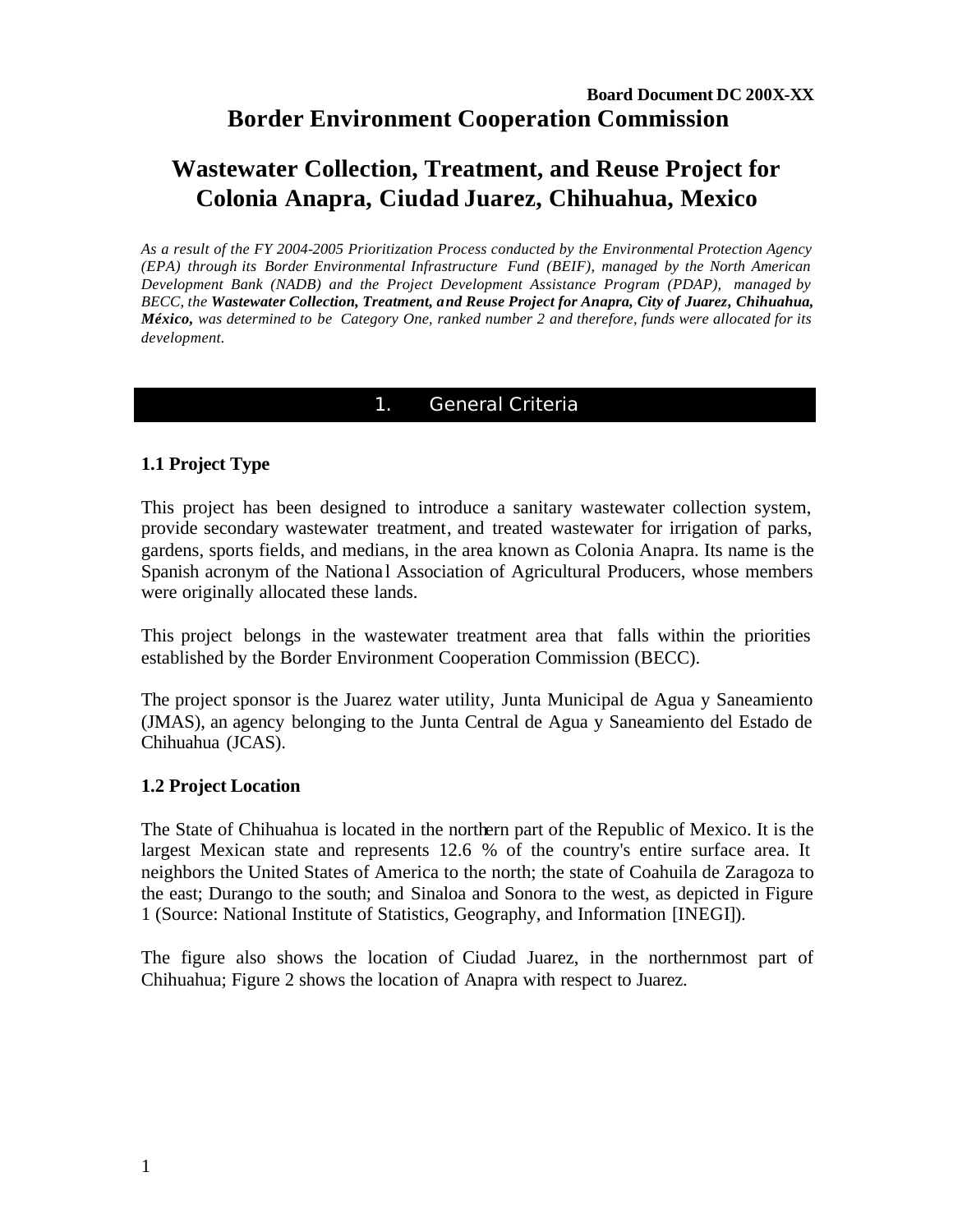# **Wastewater Collection, Treatment, and Reuse Project for Colonia Anapra, Ciudad Juarez, Chihuahua, Mexico**

*As a result of the FY 2004-2005 Prioritization Process conducted by the Environmental Protection Agency (EPA) through its Border Environmental Infrastructure Fund (BEIF), managed by the North American Development Bank (NADB) and the Project Development Assistance Program (PDAP), managed by BECC, the Wastewater Collection, Treatment, and Reuse Project for Anapra, City of Juarez, Chihuahua, México, was determined to be Category One, ranked number 2 and therefore, funds were allocated for its development.*

# 1. General Criteria

# **1.1 Project Type**

This project has been designed to introduce a sanitary wastewater collection system, provide secondary wastewater treatment, and treated wastewater for irrigation of parks, gardens, sports fields, and medians, in the area known as Colonia Anapra. Its name is the Spanish acronym of the National Association of Agricultural Producers, whose members were originally allocated these lands.

This project belongs in the wastewater treatment area that falls within the priorities established by the Border Environment Cooperation Commission (BECC).

The project sponsor is the Juarez water utility, Junta Municipal de Agua y Saneamiento (JMAS), an agency belonging to the Junta Central de Agua y Saneamiento del Estado de Chihuahua (JCAS).

# **1.2 Project Location**

The State of Chihuahua is located in the northern part of the Republic of Mexico. It is the largest Mexican state and represents 12.6 % of the country's entire surface area. It neighbors the United States of America to the north; the state of Coahuila de Zaragoza to the east; Durango to the south; and Sinaloa and Sonora to the west, as depicted in Figure 1 (Source: National Institute of Statistics, Geography, and Information [INEGI]).

The figure also shows the location of Ciudad Juarez, in the northernmost part of Chihuahua; Figure 2 shows the location of Anapra with respect to Juarez.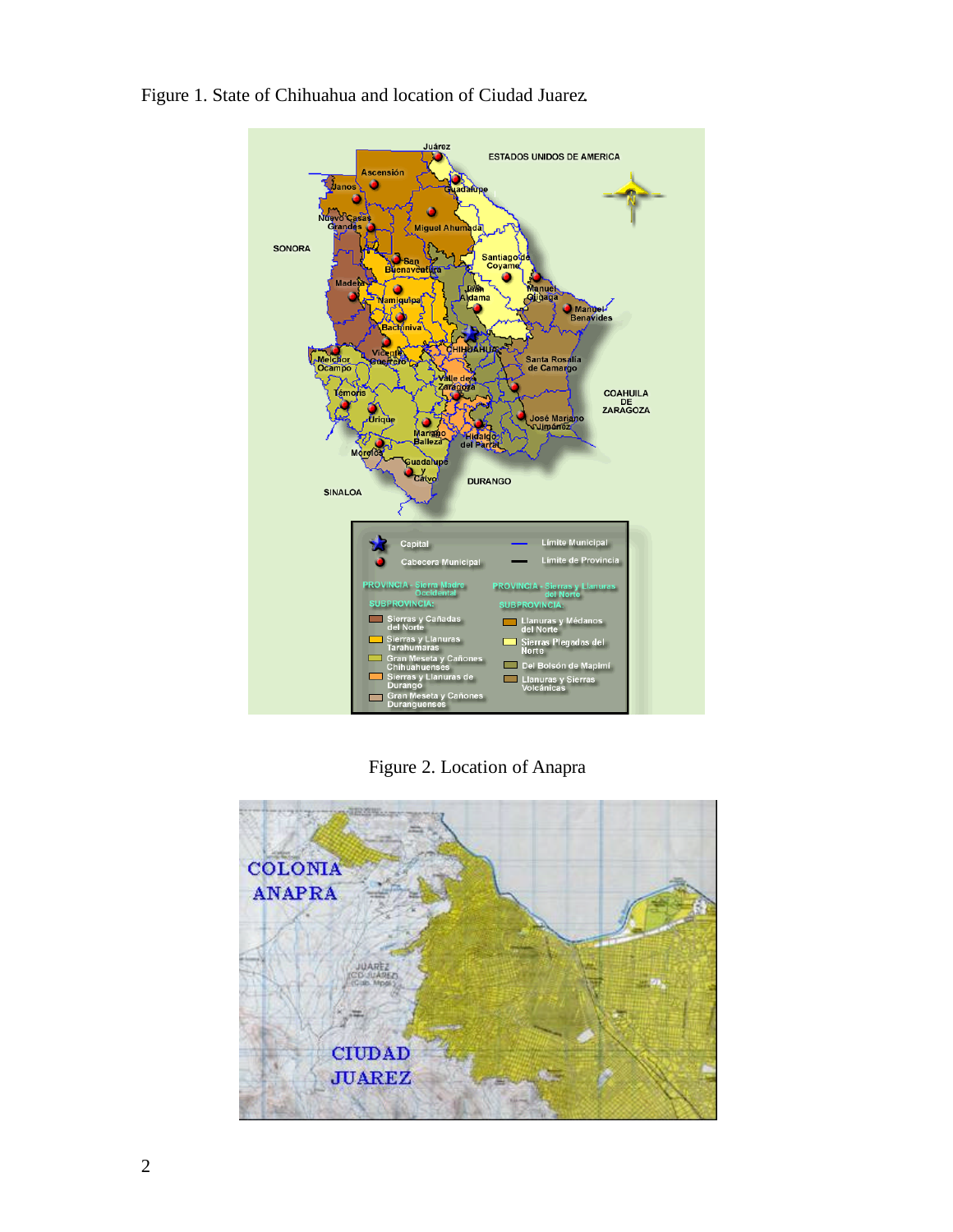

Figure 1. State of Chihuahua and location of Ciudad Juarez.

Figure 2. Location of Anapra

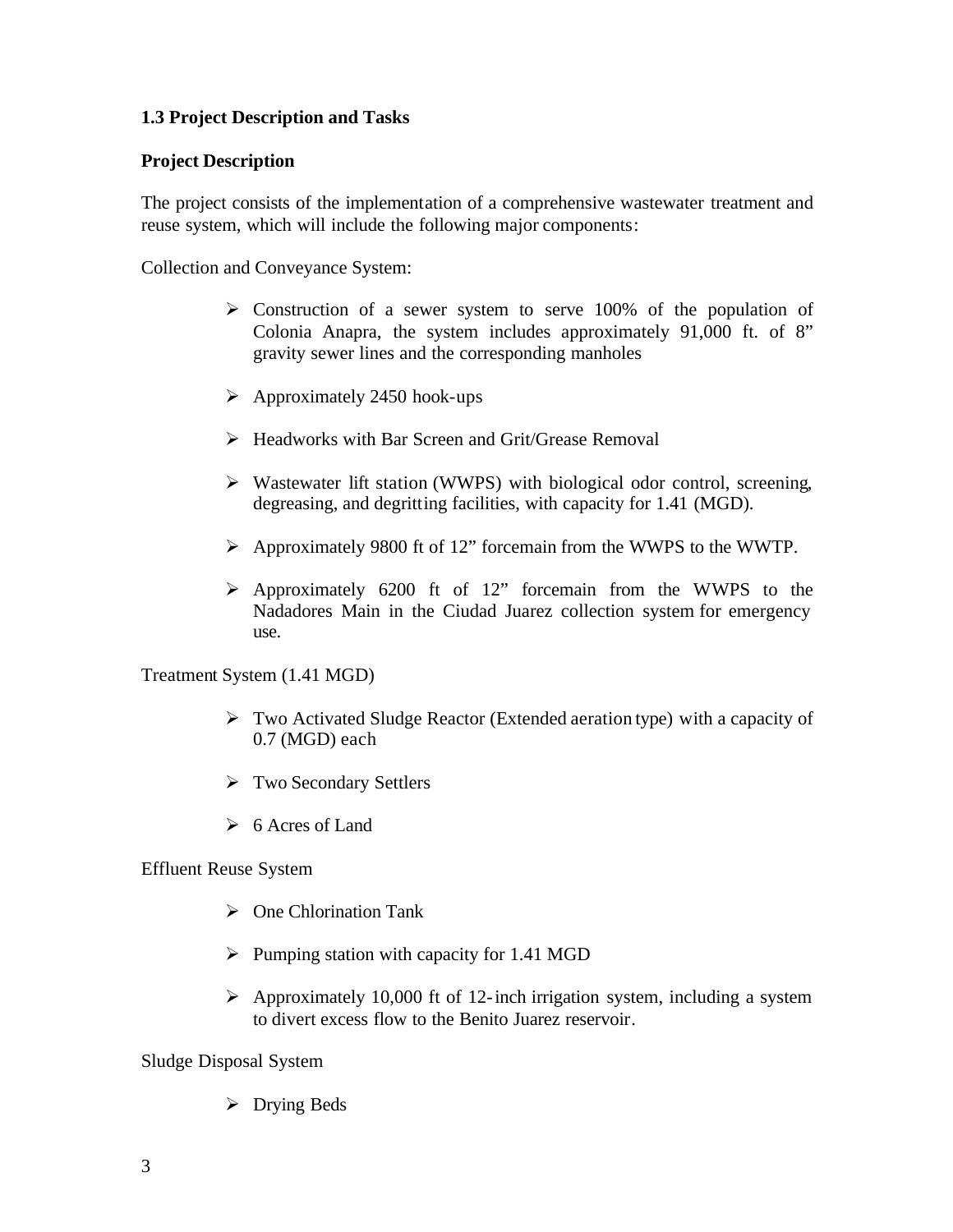# **1.3 Project Description and Tasks**

### **Project Description**

The project consists of the implementation of a comprehensive wastewater treatment and reuse system, which will include the following major components:

Collection and Conveyance System:

- $\triangleright$  Construction of a sewer system to serve 100% of the population of Colonia Anapra, the system includes approximately 91,000 ft. of 8" gravity sewer lines and the corresponding manholes
- $\blacktriangleright$  Approximately 2450 hook-ups
- $\triangleright$  Headworks with Bar Screen and Grit/Grease Removal
- $\triangleright$  Wastewater lift station (WWPS) with biological odor control, screening, degreasing, and degritting facilities, with capacity for 1.41 (MGD).
- ÿ Approximately 9800 ft of 12" forcemain from the WWPS to the WWTP.
- ÿ Approximately 6200 ft of 12" forcemain from the WWPS to the Nadadores Main in the Ciudad Juarez collection system for emergency use.

Treatment System (1.41 MGD)

- ÿ Two Activated Sludge Reactor (Extended aeration type) with a capacity of 0.7 (MGD) each
- $\triangleright$  Two Secondary Settlers
- $\geq 6$  Acres of Land

Effluent Reuse System

- $\triangleright$  One Chlorination Tank
- $\triangleright$  Pumping station with capacity for 1.41 MGD
- $\triangleright$  Approximately 10,000 ft of 12-inch irrigation system, including a system to divert excess flow to the Benito Juarez reservoir.

Sludge Disposal System

 $\triangleright$  Drying Beds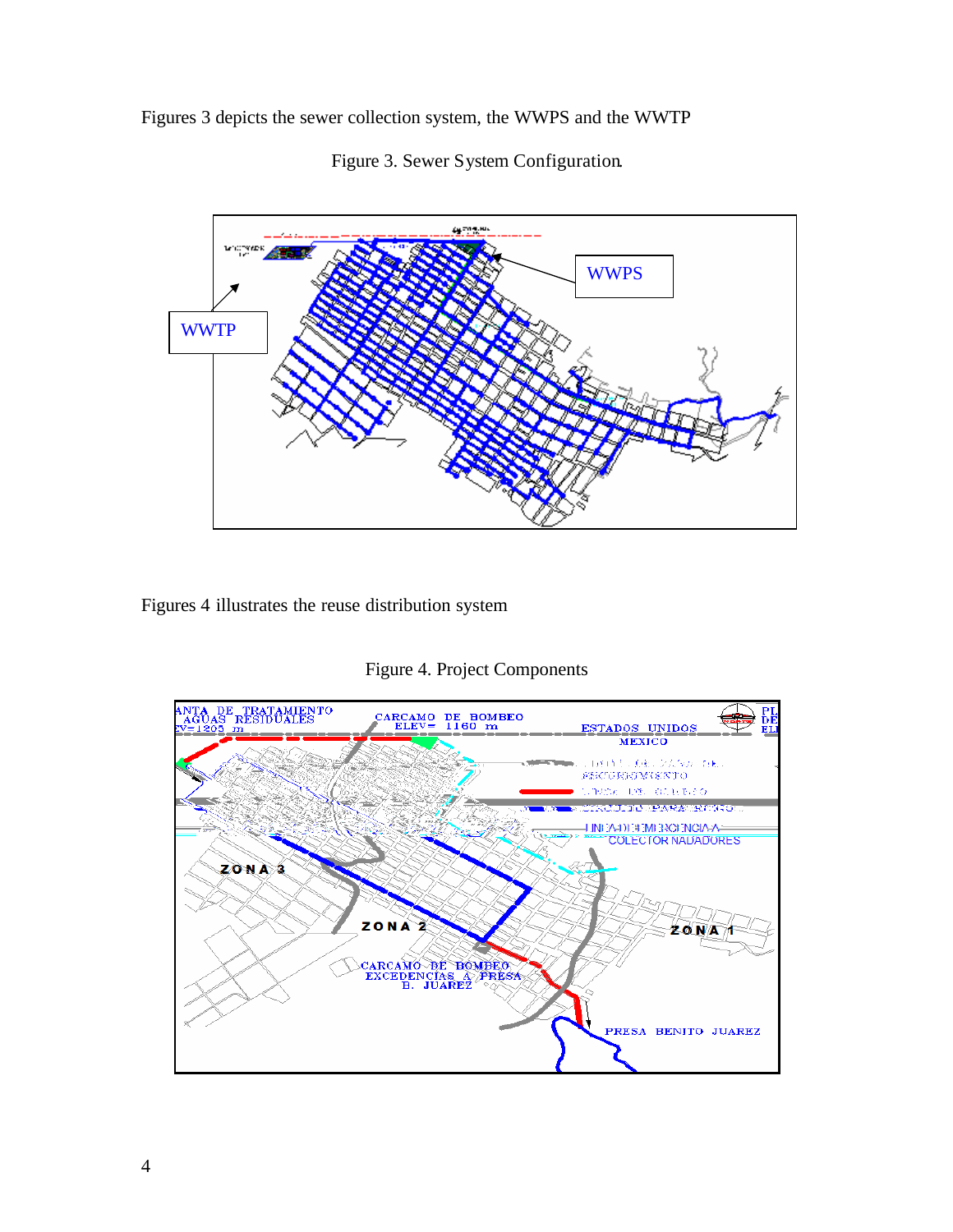Figures 3 depicts the sewer collection system, the WWPS and the WWTP



Figure 3. Sewer System Configuration.

Figures 4 illustrates the reuse distribution system

Figure 4. Project Components

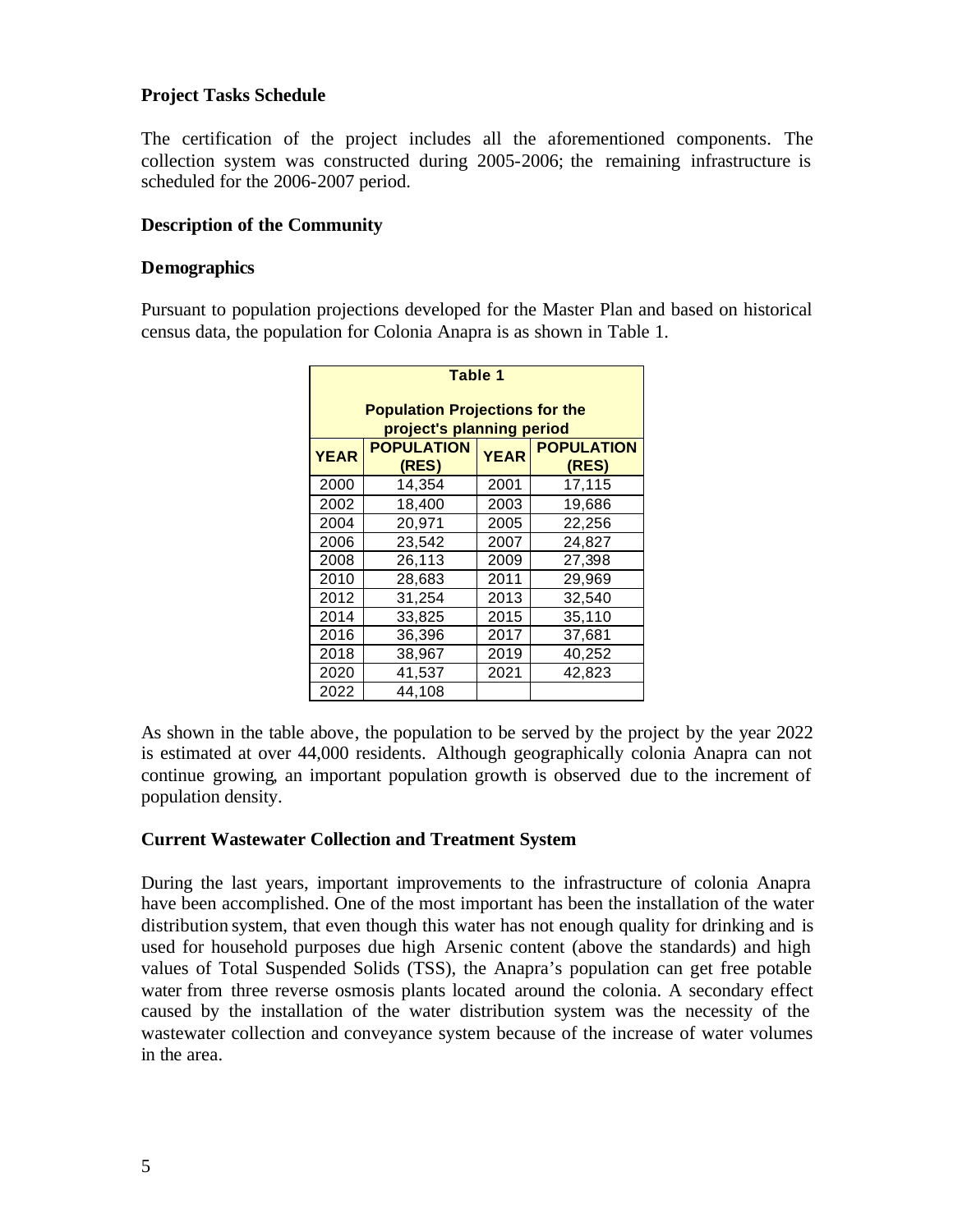# **Project Tasks Schedule**

The certification of the project includes all the aforementioned components. The collection system was constructed during 2005-2006; the remaining infrastructure is scheduled for the 2006-2007 period.

# **Description of the Community**

#### **Demographics**

Pursuant to population projections developed for the Master Plan and based on historical census data, the population for Colonia Anapra is as shown in Table 1.

| Table 1                                                                                                             |        |      |        |  |  |  |  |  |  |
|---------------------------------------------------------------------------------------------------------------------|--------|------|--------|--|--|--|--|--|--|
| <b>Population Projections for the</b>                                                                               |        |      |        |  |  |  |  |  |  |
| project's planning period<br><b>POPULATION</b><br><b>POPULATION</b><br><b>YEAR</b><br><b>YEAR</b><br>(RES)<br>(RES) |        |      |        |  |  |  |  |  |  |
| 2000                                                                                                                | 14,354 | 2001 | 17,115 |  |  |  |  |  |  |
| 2002                                                                                                                | 18,400 | 2003 | 19,686 |  |  |  |  |  |  |
| 2004                                                                                                                | 20,971 | 2005 | 22,256 |  |  |  |  |  |  |
| 2006                                                                                                                | 23,542 | 2007 | 24,827 |  |  |  |  |  |  |
| 2008                                                                                                                | 26,113 | 2009 | 27,398 |  |  |  |  |  |  |
| 2010                                                                                                                | 28,683 | 2011 | 29,969 |  |  |  |  |  |  |
| 2012                                                                                                                | 31,254 | 2013 | 32,540 |  |  |  |  |  |  |
| 2014                                                                                                                | 33,825 | 2015 | 35,110 |  |  |  |  |  |  |
| 2016                                                                                                                | 36,396 | 2017 | 37,681 |  |  |  |  |  |  |
| 2018                                                                                                                | 38,967 | 2019 | 40,252 |  |  |  |  |  |  |
| 2020                                                                                                                | 41,537 | 2021 | 42,823 |  |  |  |  |  |  |
| 2022                                                                                                                | 44.108 |      |        |  |  |  |  |  |  |

As shown in the table above, the population to be served by the project by the year 2022 is estimated at over 44,000 residents. Although geographically colonia Anapra can not continue growing, an important population growth is observed due to the increment of population density.

# **Current Wastewater Collection and Treatment System**

During the last years, important improvements to the infrastructure of colonia Anapra have been accomplished. One of the most important has been the installation of the water distribution system, that even though this water has not enough quality for drinking and is used for household purposes due high Arsenic content (above the standards) and high values of Total Suspended Solids (TSS), the Anapra's population can get free potable water from three reverse osmosis plants located around the colonia. A secondary effect caused by the installation of the water distribution system was the necessity of the wastewater collection and conveyance system because of the increase of water volumes in the area.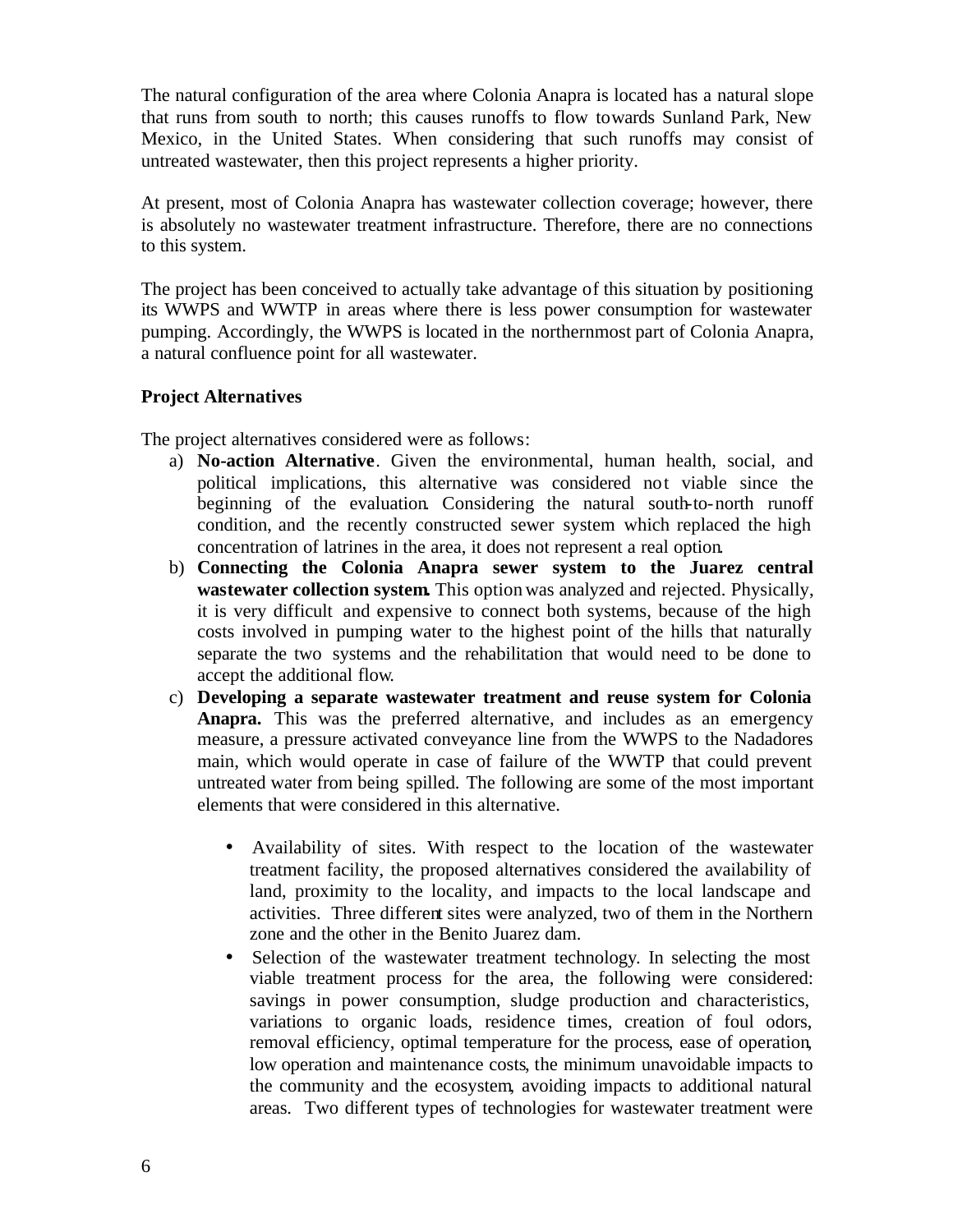The natural configuration of the area where Colonia Anapra is located has a natural slope that runs from south to north; this causes runoffs to flow towards Sunland Park, New Mexico, in the United States. When considering that such runoffs may consist of untreated wastewater, then this project represents a higher priority.

At present, most of Colonia Anapra has wastewater collection coverage; however, there is absolutely no wastewater treatment infrastructure. Therefore, there are no connections to this system.

The project has been conceived to actually take advantage of this situation by positioning its WWPS and WWTP in areas where there is less power consumption for wastewater pumping. Accordingly, the WWPS is located in the northernmost part of Colonia Anapra, a natural confluence point for all wastewater.

# **Project Alternatives**

The project alternatives considered were as follows:

- a) **No-action Alternative**. Given the environmental, human health, social, and political implications, this alternative was considered not viable since the beginning of the evaluation. Considering the natural south-to-north runoff condition, and the recently constructed sewer system which replaced the high concentration of latrines in the area, it does not represent a real option.
- b) **Connecting the Colonia Anapra sewer system to the Juarez central wastewater collection system.** This option was analyzed and rejected. Physically, it is very difficult and expensive to connect both systems, because of the high costs involved in pumping water to the highest point of the hills that naturally separate the two systems and the rehabilitation that would need to be done to accept the additional flow.
- c) **Developing a separate wastewater treatment and reuse system for Colonia Anapra.** This was the preferred alternative, and includes as an emergency measure, a pressure activated conveyance line from the WWPS to the Nadadores main, which would operate in case of failure of the WWTP that could prevent untreated water from being spilled. The following are some of the most important elements that were considered in this alternative.
	- Availability of sites. With respect to the location of the wastewater treatment facility, the proposed alternatives considered the availability of land, proximity to the locality, and impacts to the local landscape and activities. Three different sites were analyzed, two of them in the Northern zone and the other in the Benito Juarez dam.
	- Selection of the wastewater treatment technology. In selecting the most viable treatment process for the area, the following were considered: savings in power consumption, sludge production and characteristics, variations to organic loads, residence times, creation of foul odors, removal efficiency, optimal temperature for the process, ease of operation, low operation and maintenance costs, the minimum unavoidable impacts to the community and the ecosystem, avoiding impacts to additional natural areas. Two different types of technologies for wastewater treatment were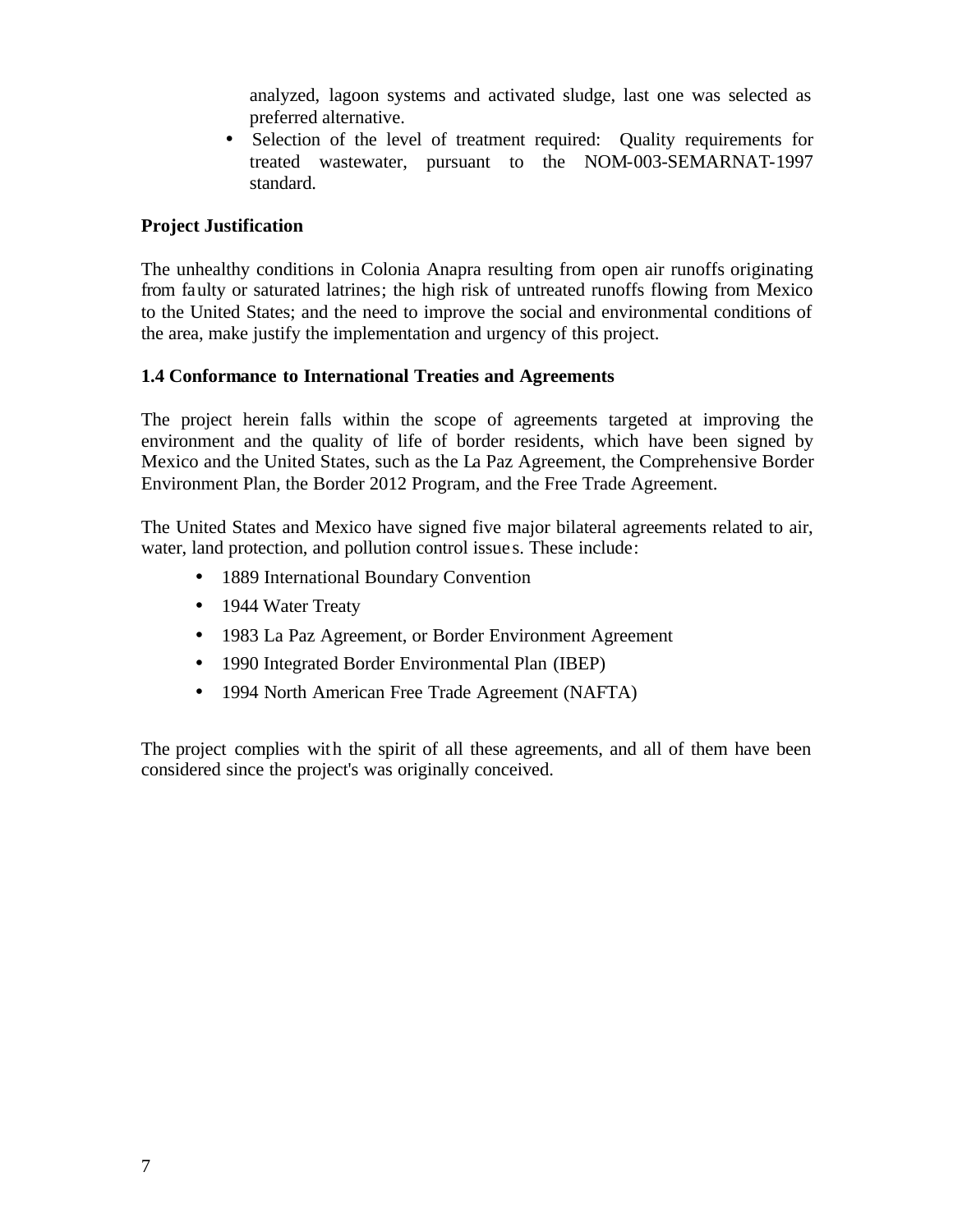analyzed, lagoon systems and activated sludge, last one was selected as preferred alternative.

• Selection of the level of treatment required: Quality requirements for treated wastewater, pursuant to the NOM-003-SEMARNAT-1997 standard.

# **Project Justification**

The unhealthy conditions in Colonia Anapra resulting from open air runoffs originating from faulty or saturated latrines; the high risk of untreated runoffs flowing from Mexico to the United States; and the need to improve the social and environmental conditions of the area, make justify the implementation and urgency of this project.

# **1.4 Conformance to International Treaties and Agreements**

The project herein falls within the scope of agreements targeted at improving the environment and the quality of life of border residents, which have been signed by Mexico and the United States, such as the La Paz Agreement, the Comprehensive Border Environment Plan, the Border 2012 Program, and the Free Trade Agreement.

The United States and Mexico have signed five major bilateral agreements related to air, water, land protection, and pollution control issue s. These include:

- 1889 International Boundary Convention
- 1944 Water Treaty
- 1983 La Paz Agreement, or Border Environment Agreement
- 1990 Integrated Border Environmental Plan (IBEP)
- 1994 North American Free Trade Agreement (NAFTA)

The project complies with the spirit of all these agreements, and all of them have been considered since the project's was originally conceived.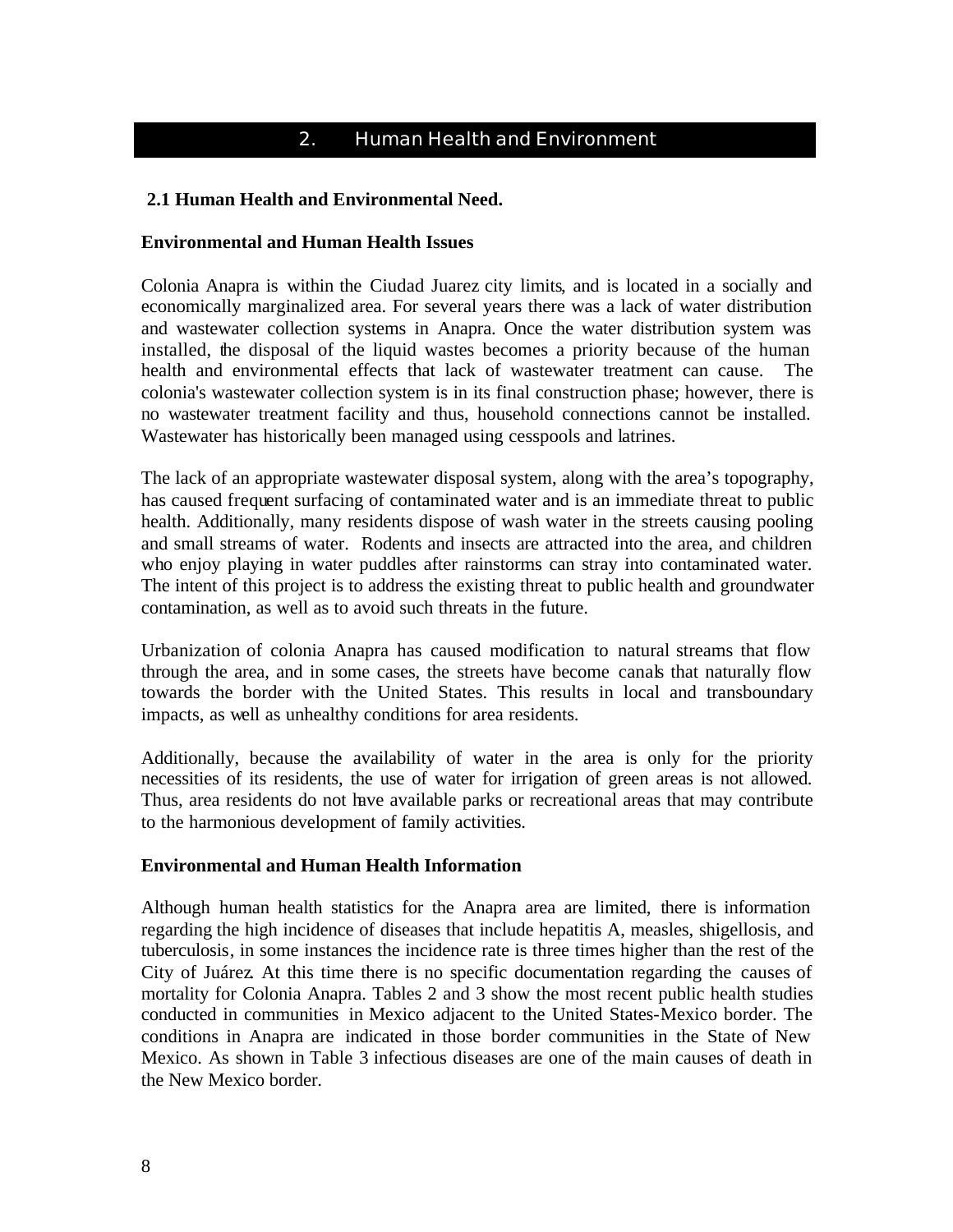# 2. Human Health and Environment

# **2.1 Human Health and Environmental Need.**

#### **Environmental and Human Health Issues**

Colonia Anapra is within the Ciudad Juarez city limits, and is located in a socially and economically marginalized area. For several years there was a lack of water distribution and wastewater collection systems in Anapra. Once the water distribution system was installed, the disposal of the liquid wastes becomes a priority because of the human health and environmental effects that lack of wastewater treatment can cause. The colonia's wastewater collection system is in its final construction phase; however, there is no wastewater treatment facility and thus, household connections cannot be installed. Wastewater has historically been managed using cesspools and latrines.

The lack of an appropriate wastewater disposal system, along with the area's topography, has caused frequent surfacing of contaminated water and is an immediate threat to public health. Additionally, many residents dispose of wash water in the streets causing pooling and small streams of water. Rodents and insects are attracted into the area, and children who enjoy playing in water puddles after rainstorms can stray into contaminated water. The intent of this project is to address the existing threat to public health and groundwater contamination, as well as to avoid such threats in the future.

Urbanization of colonia Anapra has caused modification to natural streams that flow through the area, and in some cases, the streets have become canals that naturally flow towards the border with the United States. This results in local and transboundary impacts, as well as unhealthy conditions for area residents.

Additionally, because the availability of water in the area is only for the priority necessities of its residents, the use of water for irrigation of green areas is not allowed. Thus, area residents do not have available parks or recreational areas that may contribute to the harmonious development of family activities.

# **Environmental and Human Health Information**

Although human health statistics for the Anapra area are limited, there is information regarding the high incidence of diseases that include hepatitis A, measles, shigellosis, and tuberculosis, in some instances the incidence rate is three times higher than the rest of the City of Juárez. At this time there is no specific documentation regarding the causes of mortality for Colonia Anapra. Tables 2 and 3 show the most recent public health studies conducted in communities in Mexico adjacent to the United States-Mexico border. The conditions in Anapra are indicated in those border communities in the State of New Mexico. As shown in Table 3 infectious diseases are one of the main causes of death in the New Mexico border.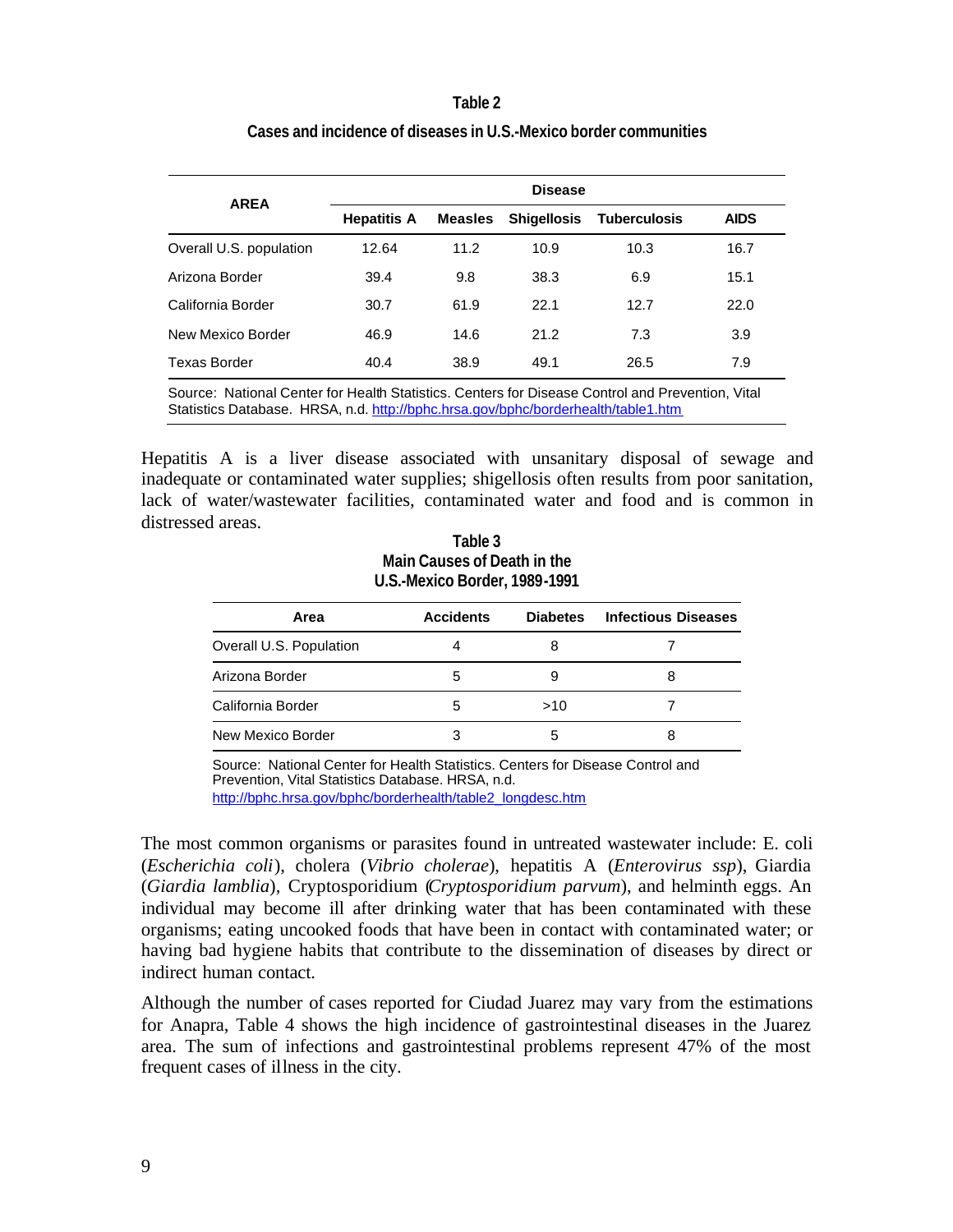#### **Table 2**

|                                                                                                 | <b>Disease</b>     |                |                    |              |             |  |  |  |
|-------------------------------------------------------------------------------------------------|--------------------|----------------|--------------------|--------------|-------------|--|--|--|
| <b>AREA</b>                                                                                     | <b>Hepatitis A</b> | <b>Measles</b> | <b>Shigellosis</b> | Tuberculosis | <b>AIDS</b> |  |  |  |
| Overall U.S. population                                                                         | 12.64              | 11.2           | 10.9               | 10.3         | 16.7        |  |  |  |
| Arizona Border                                                                                  | 39.4               | 9.8            | 38.3               | 6.9          | 15.1        |  |  |  |
| California Border                                                                               | 30.7               | 61.9           | 22.1               | 12.7         | 22.0        |  |  |  |
| New Mexico Border                                                                               | 46.9               | 14.6           | 21.2               | 7.3          | 3.9         |  |  |  |
| <b>Texas Border</b>                                                                             | 40.4               | 38.9           | 49.1               | 26.5         | 7.9         |  |  |  |
| Source: National Center for Health Statistics, Centers for Disease Control and Prevention Vital |                    |                |                    |              |             |  |  |  |

# **Cases and incidence of diseases in U.S.-Mexico border communities**

Source: National Center for Health Statistics. Centers for Disease Control and Prevention, Vital Statistics Database. HRSA, n.d. http://bphc.hrsa.gov/bphc/borderhealth/table1.htm

Hepatitis A is a liver disease associated with unsanitary disposal of sewage and inadequate or contaminated water supplies; shigellosis often results from poor sanitation, lack of water/wastewater facilities, contaminated water and food and is common in distressed areas.

| Table 3                       |
|-------------------------------|
| Main Causes of Death in the   |
| U.S.-Mexico Border, 1989-1991 |

| Area                    | <b>Accidents</b> | <b>Diabetes</b> | <b>Infectious Diseases</b> |
|-------------------------|------------------|-----------------|----------------------------|
| Overall U.S. Population |                  |                 |                            |
| Arizona Border          | 5                |                 |                            |
| California Border       | 5                | >10             |                            |
| New Mexico Border       |                  | 5               |                            |

Source: National Center for Health Statistics. Centers for Disease Control and Prevention, Vital Statistics Database. HRSA, n.d. http://bphc.hrsa.gov/bphc/borderhealth/table2\_longdesc.htm

The most common organisms or parasites found in untreated wastewater include: E. coli (*Escherichia coli*), cholera (*Vibrio cholerae*), hepatitis A (*Enterovirus ssp*), Giardia (*Giardia lamblia*), Cryptosporidium (*Cryptosporidium parvum*), and helminth eggs. An individual may become ill after drinking water that has been contaminated with these organisms; eating uncooked foods that have been in contact with contaminated water; or having bad hygiene habits that contribute to the dissemination of diseases by direct or indirect human contact.

Although the number of cases reported for Ciudad Juarez may vary from the estimations for Anapra, Table 4 shows the high incidence of gastrointestinal diseases in the Juarez area. The sum of infections and gastrointestinal problems represent 47% of the most frequent cases of illness in the city.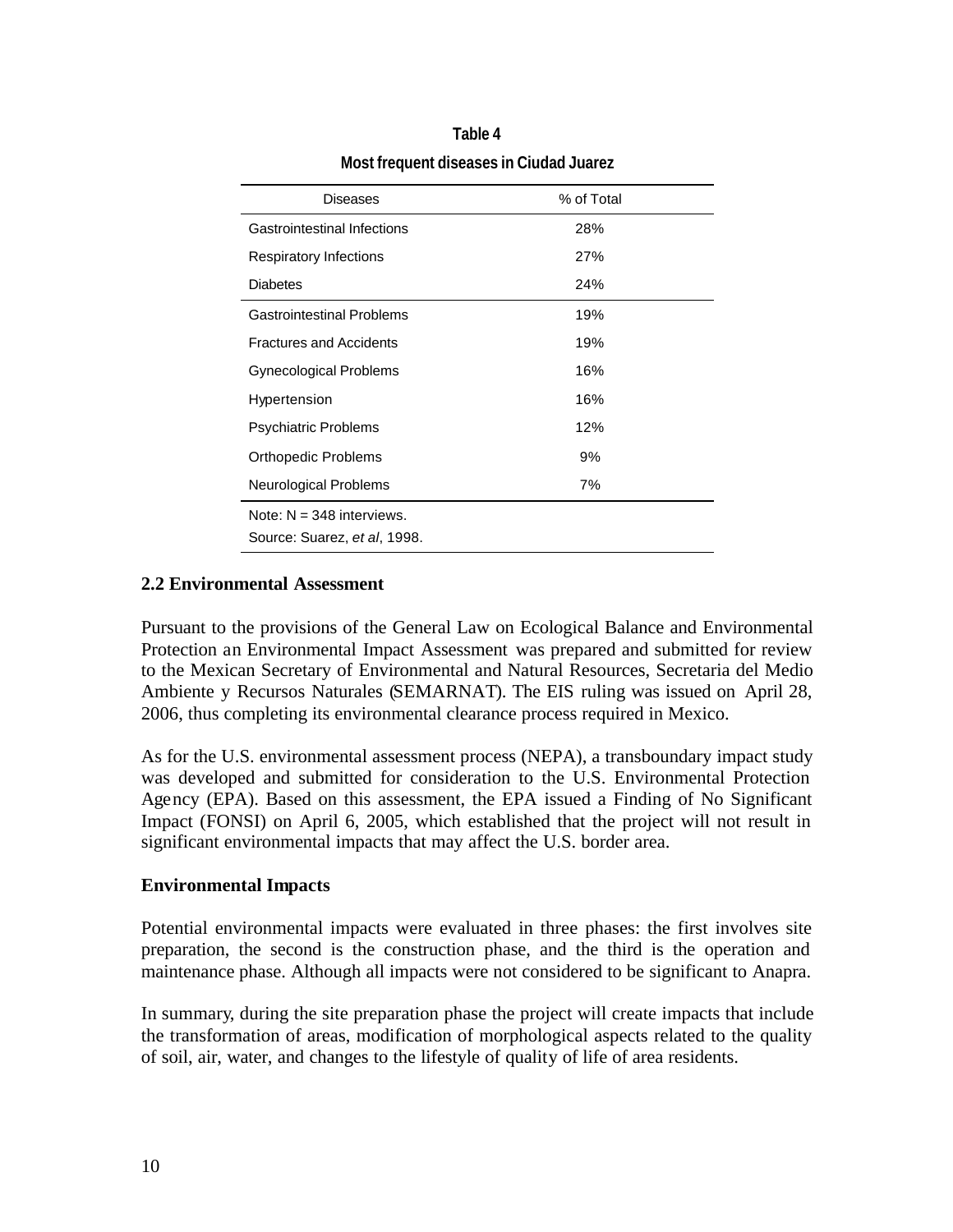| Diseases                           | % of Total |
|------------------------------------|------------|
| <b>Gastrointestinal Infections</b> | 28%        |
| <b>Respiratory Infections</b>      | 27%        |
| <b>Diabetes</b>                    | 24%        |
| <b>Gastrointestinal Problems</b>   | 19%        |
| <b>Fractures and Accidents</b>     | 19%        |
| <b>Gynecological Problems</b>      | 16%        |
| Hypertension                       | 16%        |
| <b>Psychiatric Problems</b>        | 12%        |
| Orthopedic Problems                | 9%         |
| Neurological Problems              | 7%         |
| Note: $N = 348$ interviews.        |            |
| Source: Suarez, et al, 1998.       |            |

# **Table 4 Most frequent diseases in Ciudad Juarez**

# **2.2 Environmental Assessment**

Pursuant to the provisions of the General Law on Ecological Balance and Environmental Protection an Environmental Impact Assessment was prepared and submitted for review to the Mexican Secretary of Environmental and Natural Resources, Secretaria del Medio Ambiente y Recursos Naturales (SEMARNAT). The EIS ruling was issued on April 28, 2006, thus completing its environmental clearance process required in Mexico.

As for the U.S. environmental assessment process (NEPA), a transboundary impact study was developed and submitted for consideration to the U.S. Environmental Protection Agency (EPA). Based on this assessment, the EPA issued a Finding of No Significant Impact (FONSI) on April 6, 2005, which established that the project will not result in significant environmental impacts that may affect the U.S. border area.

### **Environmental Impacts**

Potential environmental impacts were evaluated in three phases: the first involves site preparation, the second is the construction phase, and the third is the operation and maintenance phase. Although all impacts were not considered to be significant to Anapra.

In summary, during the site preparation phase the project will create impacts that include the transformation of areas, modification of morphological aspects related to the quality of soil, air, water, and changes to the lifestyle of quality of life of area residents.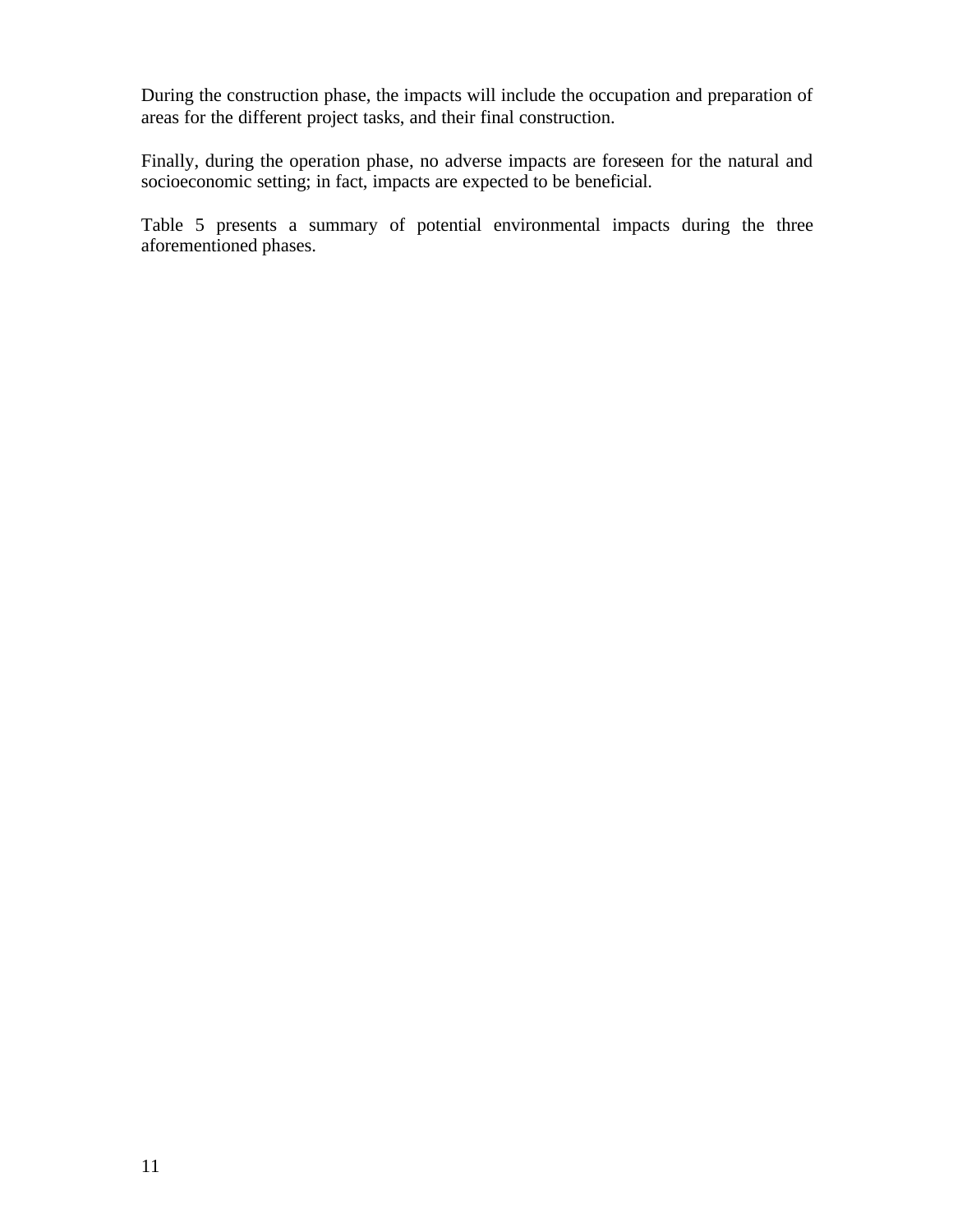During the construction phase, the impacts will include the occupation and preparation of areas for the different project tasks, and their final construction.

Finally, during the operation phase, no adverse impacts are foreseen for the natural and socioeconomic setting; in fact, impacts are expected to be beneficial.

Table 5 presents a summary of potential environmental impacts during the three aforementioned phases.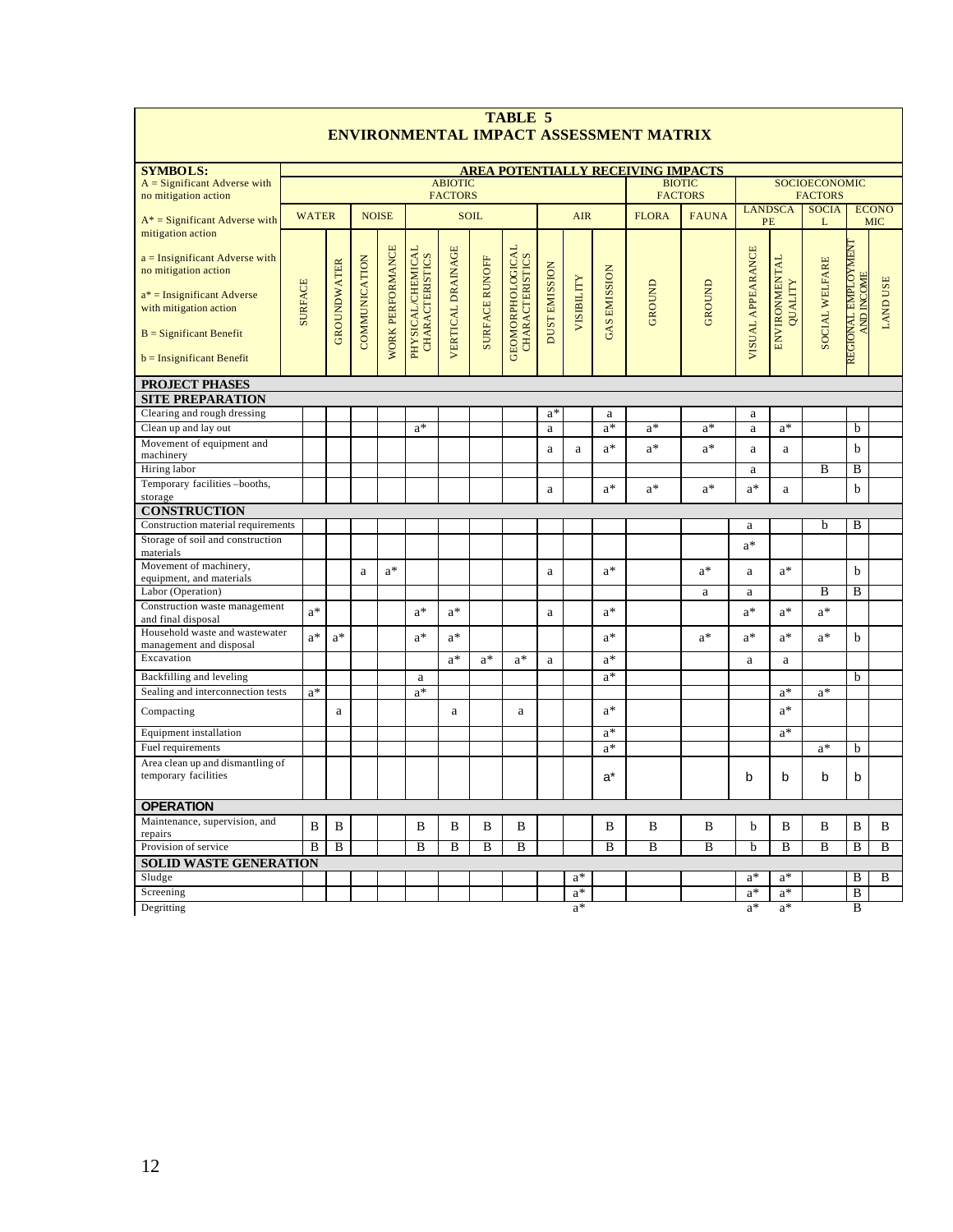| ENVIRONMENTAL IMPACT ASSESSMENT MATRIX                                                                                                                                                               |                                                                        |                    |               |                         |                                                    |                          |                       |                                                   |                      |                                        |                     |               |                |                   |                                 |                   |                                          |                            |
|------------------------------------------------------------------------------------------------------------------------------------------------------------------------------------------------------|------------------------------------------------------------------------|--------------------|---------------|-------------------------|----------------------------------------------------|--------------------------|-----------------------|---------------------------------------------------|----------------------|----------------------------------------|---------------------|---------------|----------------|-------------------|---------------------------------|-------------------|------------------------------------------|----------------------------|
| <b>SYMBOLS:</b>                                                                                                                                                                                      |                                                                        |                    |               |                         |                                                    |                          |                       |                                                   |                      |                                        |                     |               |                |                   |                                 |                   |                                          |                            |
| $A =$ Significant Adverse with<br>no mitigation action                                                                                                                                               | AREA POTENTIALLY RECEIVING IMPACTS<br><b>ABIOTIC</b><br><b>FACTORS</b> |                    |               |                         |                                                    |                          |                       | <b>BIOTIC</b><br><b>FACTORS</b>                   |                      | <b>SOCIOECONOMIC</b><br><b>FACTORS</b> |                     |               |                |                   |                                 |                   |                                          |                            |
| $A^*$ = Significant Adverse with                                                                                                                                                                     | <b>WATER</b>                                                           |                    |               | <b>NOISE</b>            |                                                    |                          | <b>SOIL</b>           |                                                   |                      | <b>AIR</b>                             |                     | <b>FLORA</b>  | <b>FAUNA</b>   | PE                | <b>LANDSCA</b>                  | <b>SOCIA</b><br>L |                                          | <b>ECONO</b><br><b>MIC</b> |
| mitigation action<br>$a =$ Insignificant Adverse with<br>no mitigation action<br>$a^*$ = Insignificant Adverse<br>with mitigation action<br>$B =$ Significant Benefit<br>$b =$ Insignificant Benefit | <b>SURFACE</b>                                                         | <b>GROUNDWATER</b> | COMMUNICATION | <b>WORK PERFORMANCE</b> | <b>PHYSICAL/CHEMICAL</b><br><b>CHARACTERISTICS</b> | <b>VERTICAL DRAINAGE</b> | <b>SURFACE RUNOFF</b> | <b>GEOMORPHOLOGICAL</b><br><b>CHARACTERISTICS</b> | <b>DUST EMISSION</b> | <b>VISIBILITY</b>                      | <b>GAS EMISSION</b> | <b>GROUND</b> | <b>GROUND</b>  | VISUAL APPEARANCE | <b>ENVIRONMENTAL</b><br>QUALITY | SOCIAL WELFARE    | REGIONAL EMPLOYMENT<br><b>AND INCOME</b> | <b>LAND USE</b>            |
| <b>PROJECT PHASES</b>                                                                                                                                                                                |                                                                        |                    |               |                         |                                                    |                          |                       |                                                   |                      |                                        |                     |               |                |                   |                                 |                   |                                          |                            |
| <b>SITE PREPARATION</b>                                                                                                                                                                              |                                                                        |                    |               |                         |                                                    |                          |                       |                                                   |                      |                                        |                     |               |                |                   |                                 |                   |                                          |                            |
| Clearing and rough dressing                                                                                                                                                                          |                                                                        |                    |               |                         |                                                    |                          |                       |                                                   | $a^*$                |                                        | a                   |               |                | a                 |                                 |                   |                                          |                            |
| Clean up and lay out                                                                                                                                                                                 |                                                                        |                    |               |                         | $a^*$                                              |                          |                       |                                                   | a                    |                                        | $a^*$               | $a^*$         | $a^*$          | $\rm{a}$          | $a^*$                           |                   | b                                        |                            |
| Movement of equipment and<br>machinery                                                                                                                                                               |                                                                        |                    |               |                         |                                                    |                          |                       |                                                   | a                    | $\rm{a}$                               | $a^*$               | $a^*$         | $a^*$          | $\mathbf{a}$      | a                               |                   | b                                        |                            |
| Hiring labor                                                                                                                                                                                         |                                                                        |                    |               |                         |                                                    |                          |                       |                                                   |                      |                                        |                     |               |                | a                 |                                 | B                 | B                                        |                            |
| Temporary facilities-booths,                                                                                                                                                                         |                                                                        |                    |               |                         |                                                    |                          |                       |                                                   |                      |                                        | $a^*$               | $a^*$         | $\mathrm{a}^*$ | $\mathrm{a}^*$    |                                 |                   | $\mathbf b$                              |                            |
| storage                                                                                                                                                                                              |                                                                        |                    |               |                         |                                                    |                          |                       |                                                   | a                    |                                        |                     |               |                |                   | a                               |                   |                                          |                            |
| <b>CONSTRUCTION</b>                                                                                                                                                                                  |                                                                        |                    |               |                         |                                                    |                          |                       |                                                   |                      |                                        |                     |               |                |                   |                                 |                   |                                          |                            |
| Construction material requirements                                                                                                                                                                   |                                                                        |                    |               |                         |                                                    |                          |                       |                                                   |                      |                                        |                     |               |                | a                 |                                 | b                 | B                                        |                            |
| Storage of soil and construction                                                                                                                                                                     |                                                                        |                    |               |                         |                                                    |                          |                       |                                                   |                      |                                        |                     |               |                | $a^*$             |                                 |                   |                                          |                            |
| materials<br>Movement of machinery,                                                                                                                                                                  |                                                                        |                    |               |                         |                                                    |                          |                       |                                                   |                      |                                        |                     |               |                |                   |                                 |                   |                                          |                            |
| equipment, and materials                                                                                                                                                                             |                                                                        |                    | $\rm{a}$      | $a^*$                   |                                                    |                          |                       |                                                   | $\rm{a}$             |                                        | a*                  |               | $a^*$          | a                 | $\mathrm{a}^*$                  |                   | h                                        |                            |
| Labor (Operation)                                                                                                                                                                                    |                                                                        |                    |               |                         |                                                    |                          |                       |                                                   |                      |                                        |                     |               | $\rm{a}$       | a                 |                                 | B                 | B                                        |                            |
| Construction waste management                                                                                                                                                                        | $a^*$                                                                  |                    |               |                         | $a^*$                                              | $a^*$                    |                       |                                                   | a                    |                                        | $a^*$               |               |                | $a^*$             | $\mathrm{a}^*$                  | $a^*$             |                                          |                            |
| and final disposal<br>Household waste and wastewater                                                                                                                                                 |                                                                        |                    |               |                         |                                                    |                          |                       |                                                   |                      |                                        |                     |               |                |                   |                                 |                   |                                          |                            |
| management and disposal                                                                                                                                                                              | $a^*$                                                                  | $a^*$              |               |                         | $a^*$                                              | $a^*$                    |                       |                                                   |                      |                                        | $a^*$               |               | $a^*$          | $a^*$             | $\mathrm{a}^*$                  | $a^*$             | b                                        |                            |
| Excavation                                                                                                                                                                                           |                                                                        |                    |               |                         |                                                    | $a^*$                    | $a^*$                 | $a^*$                                             | a                    |                                        | $a^*$               |               |                | a                 | a                               |                   |                                          |                            |
| Backfilling and leveling                                                                                                                                                                             |                                                                        |                    |               |                         | $\mathbf{a}$                                       |                          |                       |                                                   |                      |                                        | $a^*$               |               |                |                   |                                 |                   | b                                        |                            |
| Sealing and interconnection tests                                                                                                                                                                    | $a^*$                                                                  |                    |               |                         | $a^*$                                              |                          |                       |                                                   |                      |                                        |                     |               |                |                   | $a^*$                           | $a^*$             |                                          |                            |
| Compacting                                                                                                                                                                                           |                                                                        | a                  |               |                         |                                                    | a                        |                       | a                                                 |                      |                                        | $a^*$               |               |                |                   | $a^*$                           |                   |                                          |                            |
| Equipment installation                                                                                                                                                                               |                                                                        |                    |               |                         |                                                    |                          |                       |                                                   |                      |                                        | $a^*$               |               |                |                   | $a^*$                           |                   |                                          |                            |
| Fuel requirements                                                                                                                                                                                    |                                                                        |                    |               |                         |                                                    |                          |                       |                                                   |                      |                                        | $a^*$               |               |                |                   |                                 | $a^*$             | b                                        |                            |
| Area clean up and dismantling of<br>temporary facilities                                                                                                                                             |                                                                        |                    |               |                         |                                                    |                          |                       |                                                   |                      |                                        | $a^*$               |               |                | b                 | b                               | b                 | b                                        |                            |
| <b>OPERATION</b>                                                                                                                                                                                     |                                                                        |                    |               |                         |                                                    |                          |                       |                                                   |                      |                                        |                     |               |                |                   |                                 |                   |                                          |                            |
| Maintenance, supervision, and<br>repairs                                                                                                                                                             | B                                                                      | B                  |               |                         | B                                                  | B                        | B                     | B                                                 |                      |                                        | B                   | B             | B              | b                 | B                               | B                 | B                                        | B                          |
| Provision of service                                                                                                                                                                                 | B                                                                      | B                  |               |                         | B                                                  | B                        | B                     | B                                                 |                      |                                        | B                   | B             | B              | b                 | B                               | B                 | B                                        | B                          |
| <b>SOLID WASTE GENERATION</b>                                                                                                                                                                        |                                                                        |                    |               |                         |                                                    |                          |                       |                                                   |                      |                                        |                     |               |                |                   |                                 |                   |                                          |                            |
| Sludge                                                                                                                                                                                               |                                                                        |                    |               |                         |                                                    |                          |                       |                                                   |                      | $a^*$                                  |                     |               |                | $a^*$             | $a^*$                           |                   | B                                        | $\overline{B}$             |
| Screening                                                                                                                                                                                            |                                                                        |                    |               |                         |                                                    |                          |                       |                                                   |                      | $a^*$                                  |                     |               |                | $a^*$             | $a^*$                           |                   | $\overline{B}$                           |                            |
| Degritting                                                                                                                                                                                           |                                                                        |                    |               |                         |                                                    |                          |                       |                                                   |                      | $a^*$                                  |                     |               |                | $a^*$             | $a^*$                           |                   | $\overline{B}$                           |                            |

**TABLE 5**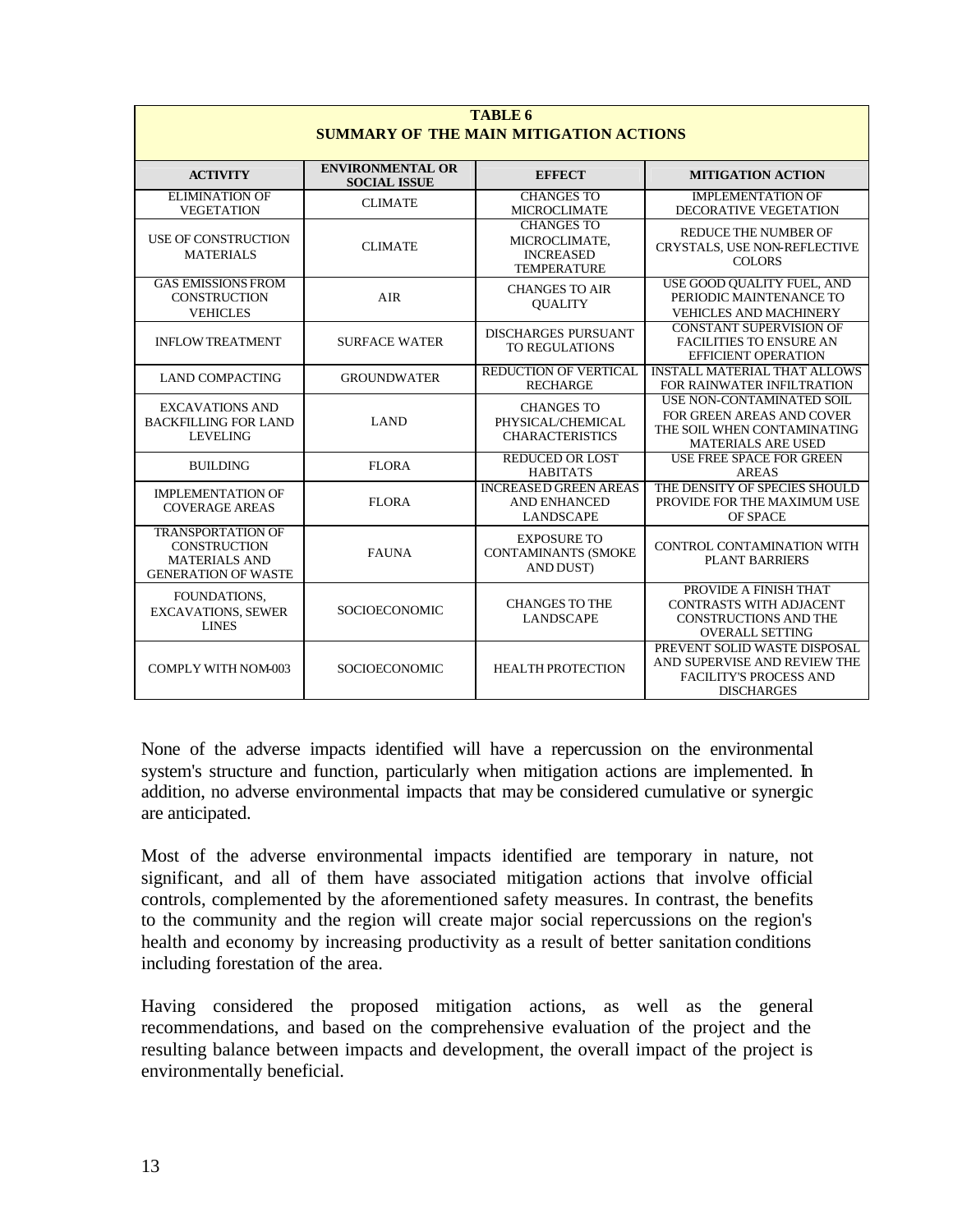| <b>TABLE 6</b><br><b>SUMMARY OF THE MAIN MITIGATION ACTIONS</b>                                       |                                                |                                                                              |                                                                                                                    |  |  |  |  |  |
|-------------------------------------------------------------------------------------------------------|------------------------------------------------|------------------------------------------------------------------------------|--------------------------------------------------------------------------------------------------------------------|--|--|--|--|--|
| <b>ACTIVITY</b>                                                                                       | <b>ENVIRONMENTAL OR</b><br><b>SOCIAL ISSUE</b> | <b>EFFECT</b>                                                                | <b>MITIGATION ACTION</b>                                                                                           |  |  |  |  |  |
| <b>ELIMINATION OF</b><br><b>VEGETATION</b>                                                            | <b>CLIMATE</b>                                 | <b>CHANGES TO</b><br><b>MICROCLIMATE</b>                                     | <b>IMPLEMENTATION OF</b><br><b>DECORATIVE VEGETATION</b>                                                           |  |  |  |  |  |
| <b>USE OF CONSTRUCTION</b><br><b>MATERIALS</b>                                                        | <b>CLIMATE</b>                                 | <b>CHANGES TO</b><br>MICROCLIMATE,<br><b>INCREASED</b><br><b>TEMPERATURE</b> | REDUCE THE NUMBER OF<br>CRYSTALS, USE NON-REFLECTIVE<br><b>COLORS</b>                                              |  |  |  |  |  |
| <b>GAS EMISSIONS FROM</b><br><b>CONSTRUCTION</b><br><b>VEHICLES</b>                                   | <b>AIR</b>                                     | <b>CHANGES TO AIR</b><br><b>OUALITY</b>                                      | USE GOOD QUALITY FUEL, AND<br>PERIODIC MAINTENANCE TO<br><b>VEHICLES AND MACHINERY</b>                             |  |  |  |  |  |
| <b>INFLOW TREATMENT</b>                                                                               | <b>SURFACE WATER</b>                           | <b>DISCHARGES PURSUANT</b><br>TO REGULATIONS                                 | <b>CONSTANT SUPERVISION OF</b><br><b>FACILITIES TO ENSURE AN</b><br><b>EFFICIENT OPERATION</b>                     |  |  |  |  |  |
| <b>LAND COMPACTING</b>                                                                                | <b>GROUNDWATER</b>                             | REDUCTION OF VERTICAL<br><b>RECHARGE</b>                                     | <b>INSTALL MATERIAL THAT ALLOWS</b><br>FOR RAINWATER INFILTRATION                                                  |  |  |  |  |  |
| <b>EXCAVATIONS AND</b><br><b>BACKFILLING FOR LAND</b><br><b>LEVELING</b>                              | <b>LAND</b>                                    | <b>CHANGES TO</b><br>PHYSICAL/CHEMICAL<br><b>CHARACTERISTICS</b>             | USE NON-CONTAMINATED SOIL<br>FOR GREEN AREAS AND COVER<br>THE SOIL WHEN CONTAMINATING<br><b>MATERIALS ARE USED</b> |  |  |  |  |  |
| <b>BUILDING</b>                                                                                       | <b>FLORA</b>                                   | <b>REDUCED OR LOST</b><br><b>HABITATS</b>                                    | <b>USE FREE SPACE FOR GREEN</b><br><b>AREAS</b>                                                                    |  |  |  |  |  |
| <b>IMPLEMENTATION OF</b><br><b>COVERAGE AREAS</b>                                                     | <b>FLORA</b>                                   | <b>INCREASED GREEN AREAS</b><br><b>AND ENHANCED</b><br><b>LANDSCAPE</b>      | THE DENSITY OF SPECIES SHOULD<br>PROVIDE FOR THE MAXIMUM USE<br>OF SPACE                                           |  |  |  |  |  |
| <b>TRANSPORTATION OF</b><br><b>CONSTRUCTION</b><br><b>MATERIALS AND</b><br><b>GENERATION OF WASTE</b> | <b>FAUNA</b>                                   | <b>EXPOSURE TO</b><br><b>CONTAMINANTS (SMOKE</b><br>AND DUST)                | CONTROL CONTAMINATION WITH<br><b>PLANT BARRIERS</b>                                                                |  |  |  |  |  |
| FOUNDATIONS.<br><b>EXCAVATIONS, SEWER</b><br><b>LINES</b>                                             | <b>SOCIOECONOMIC</b>                           | <b>CHANGES TO THE</b><br><b>LANDSCAPE</b>                                    | PROVIDE A FINISH THAT<br><b>CONTRASTS WITH ADJACENT</b><br><b>CONSTRUCTIONS AND THE</b><br><b>OVERALL SETTING</b>  |  |  |  |  |  |
| <b>COMPLY WITH NOM-003</b>                                                                            | <b>SOCIOECONOMIC</b>                           | <b>HEALTH PROTECTION</b>                                                     | PREVENT SOLID WASTE DISPOSAL<br>AND SUPERVISE AND REVIEW THE<br><b>FACILITY'S PROCESS AND</b><br><b>DISCHARGES</b> |  |  |  |  |  |

None of the adverse impacts identified will have a repercussion on the environmental system's structure and function, particularly when mitigation actions are implemented. In addition, no adverse environmental impacts that may be considered cumulative or synergic are anticipated.

Most of the adverse environmental impacts identified are temporary in nature, not significant, and all of them have associated mitigation actions that involve official controls, complemented by the aforementioned safety measures. In contrast, the benefits to the community and the region will create major social repercussions on the region's health and economy by increasing productivity as a result of better sanitation conditions including forestation of the area.

Having considered the proposed mitigation actions, as well as the general recommendations, and based on the comprehensive evaluation of the project and the resulting balance between impacts and development, the overall impact of the project is environmentally beneficial.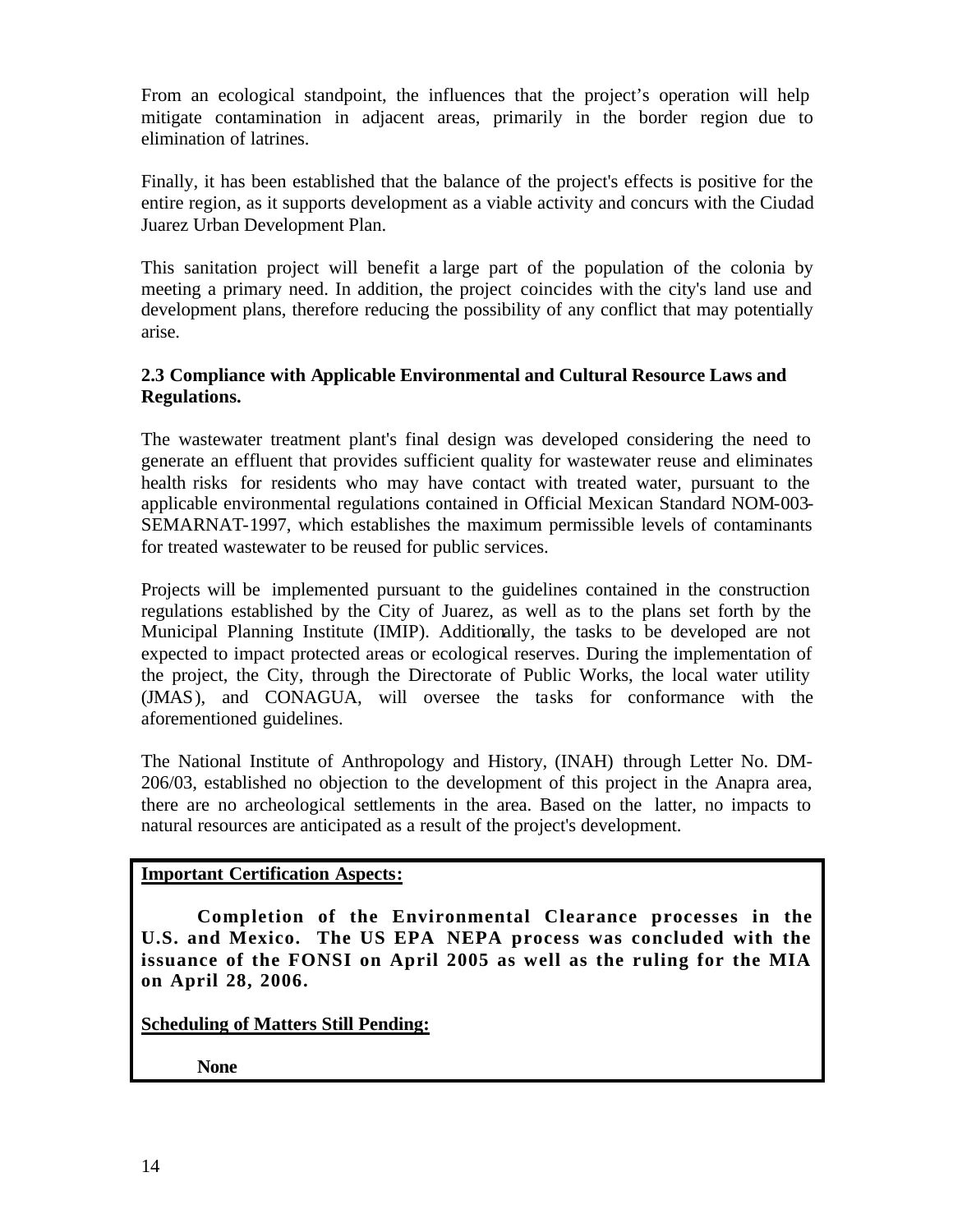From an ecological standpoint, the influences that the project's operation will help mitigate contamination in adjacent areas, primarily in the border region due to elimination of latrines.

Finally, it has been established that the balance of the project's effects is positive for the entire region, as it supports development as a viable activity and concurs with the Ciudad Juarez Urban Development Plan.

This sanitation project will benefit a large part of the population of the colonia by meeting a primary need. In addition, the project coincides with the city's land use and development plans, therefore reducing the possibility of any conflict that may potentially arise.

# **2.3 Compliance with Applicable Environmental and Cultural Resource Laws and Regulations.**

The wastewater treatment plant's final design was developed considering the need to generate an effluent that provides sufficient quality for wastewater reuse and eliminates health risks for residents who may have contact with treated water, pursuant to the applicable environmental regulations contained in Official Mexican Standard NOM-003- SEMARNAT-1997, which establishes the maximum permissible levels of contaminants for treated wastewater to be reused for public services.

Projects will be implemented pursuant to the guidelines contained in the construction regulations established by the City of Juarez, as well as to the plans set forth by the Municipal Planning Institute (IMIP). Additionally, the tasks to be developed are not expected to impact protected areas or ecological reserves. During the implementation of the project, the City, through the Directorate of Public Works, the local water utility (JMAS), and CONAGUA, will oversee the tasks for conformance with the aforementioned guidelines.

The National Institute of Anthropology and History, (INAH) through Letter No. DM-206/03, established no objection to the development of this project in the Anapra area, there are no archeological settlements in the area. Based on the latter, no impacts to natural resources are anticipated as a result of the project's development.

# **Important Certification Aspects:**

**Completion of the Environmental Clearance processes in the U.S. and Mexico. The US EPA NEPA process was concluded with the issuance of the FONSI on April 2005 as well as the ruling for the MIA on April 28, 2006.**

**Scheduling of Matters Still Pending:**

**None**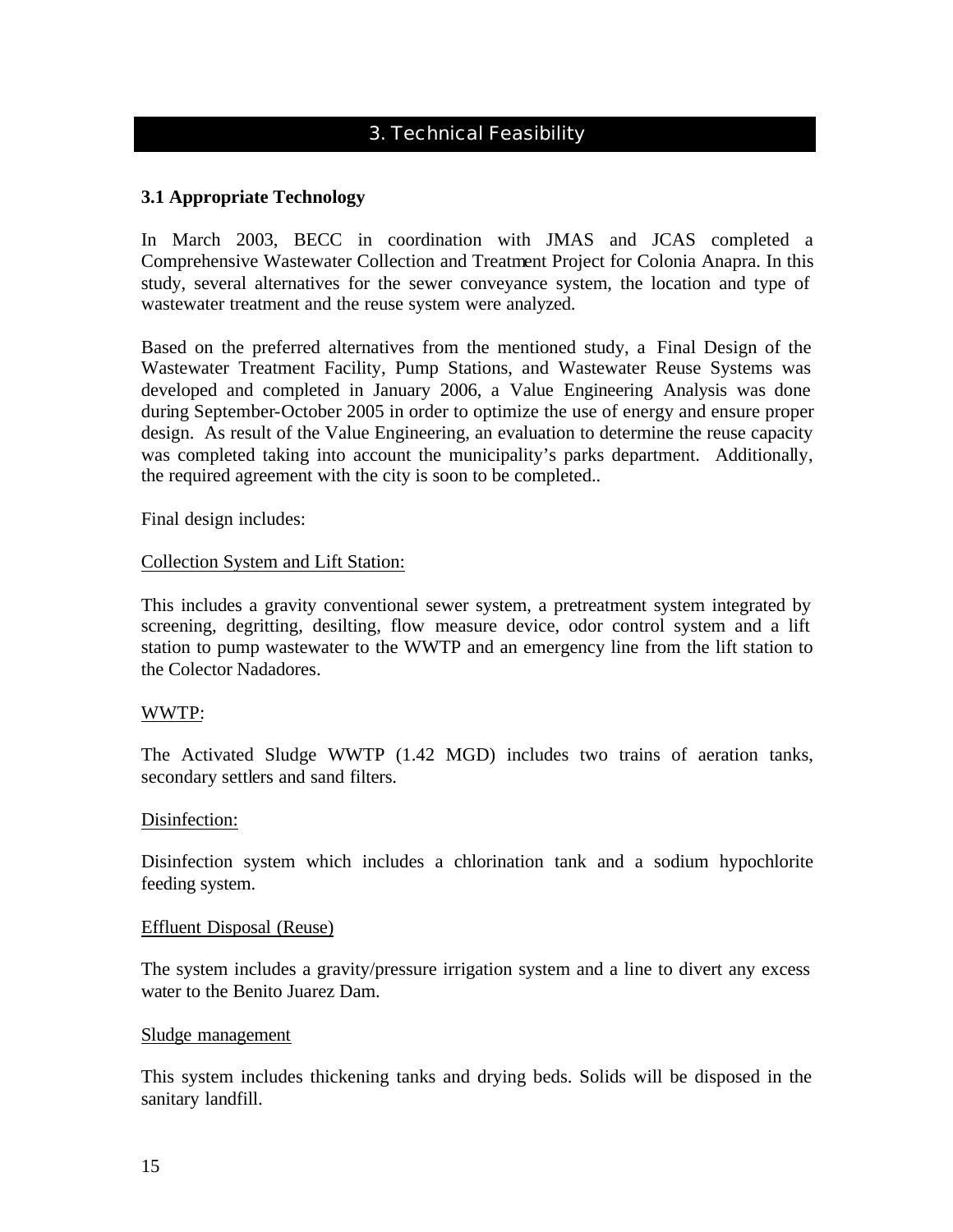# 3. Technical Feasibility

# **3.1 Appropriate Technology**

In March 2003, BECC in coordination with JMAS and JCAS completed a Comprehensive Wastewater Collection and Treatment Project for Colonia Anapra. In this study, several alternatives for the sewer conveyance system, the location and type of wastewater treatment and the reuse system were analyzed.

Based on the preferred alternatives from the mentioned study, a Final Design of the Wastewater Treatment Facility, Pump Stations, and Wastewater Reuse Systems was developed and completed in January 2006, a Value Engineering Analysis was done during September-October 2005 in order to optimize the use of energy and ensure proper design. As result of the Value Engineering, an evaluation to determine the reuse capacity was completed taking into account the municipality's parks department. Additionally, the required agreement with the city is soon to be completed..

Final design includes:

#### Collection System and Lift Station:

This includes a gravity conventional sewer system, a pretreatment system integrated by screening, degritting, desilting, flow measure device, odor control system and a lift station to pump wastewater to the WWTP and an emergency line from the lift station to the Colector Nadadores.

#### WWTP:

The Activated Sludge WWTP (1.42 MGD) includes two trains of aeration tanks, secondary settlers and sand filters.

#### Disinfection:

Disinfection system which includes a chlorination tank and a sodium hypochlorite feeding system.

#### Effluent Disposal (Reuse)

The system includes a gravity/pressure irrigation system and a line to divert any excess water to the Benito Juarez Dam.

# Sludge management

This system includes thickening tanks and drying beds. Solids will be disposed in the sanitary landfill.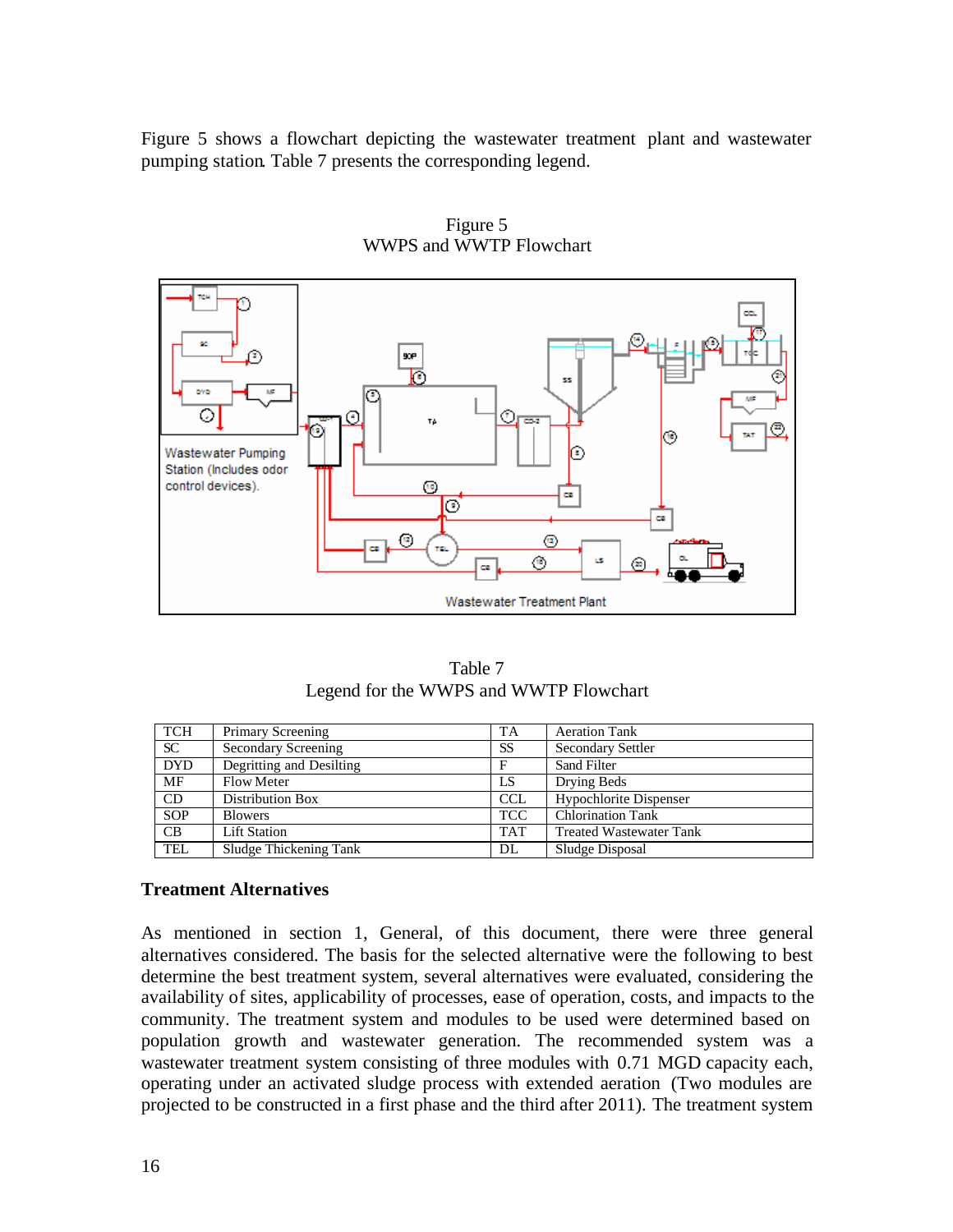Figure 5 shows a flowchart depicting the wastewater treatment plant and wastewater pumping station. Table 7 presents the corresponding legend.



Figure 5 WWPS and WWTP Flowchart

| Table 7                                |  |
|----------------------------------------|--|
| Legend for the WWPS and WWTP Flowchart |  |

| <b>TCH</b> | Primary Screening        | TA         | <b>Aeration Tank</b>           |
|------------|--------------------------|------------|--------------------------------|
| <b>SC</b>  | Secondary Screening      | <b>SS</b>  | <b>Secondary Settler</b>       |
| <b>DYD</b> | Degritting and Desilting | F          | Sand Filter                    |
| MF         | <b>Flow Meter</b>        | LS         | Drying Beds                    |
| CD         | Distribution Box         | <b>CCL</b> | Hypochlorite Dispenser         |
| <b>SOP</b> | <b>Blowers</b>           | <b>TCC</b> | <b>Chlorination Tank</b>       |
| CB         | <b>Lift Station</b>      | <b>TAT</b> | <b>Treated Wastewater Tank</b> |
| <b>TEL</b> | Sludge Thickening Tank   | DL         | Sludge Disposal                |

# **Treatment Alternatives**

As mentioned in section 1, General, of this document, there were three general alternatives considered. The basis for the selected alternative were the following to best determine the best treatment system, several alternatives were evaluated, considering the availability of sites, applicability of processes, ease of operation, costs, and impacts to the community. The treatment system and modules to be used were determined based on population growth and wastewater generation. The recommended system was a wastewater treatment system consisting of three modules with 0.71 MGD capacity each, operating under an activated sludge process with extended aeration (Two modules are projected to be constructed in a first phase and the third after 2011). The treatment system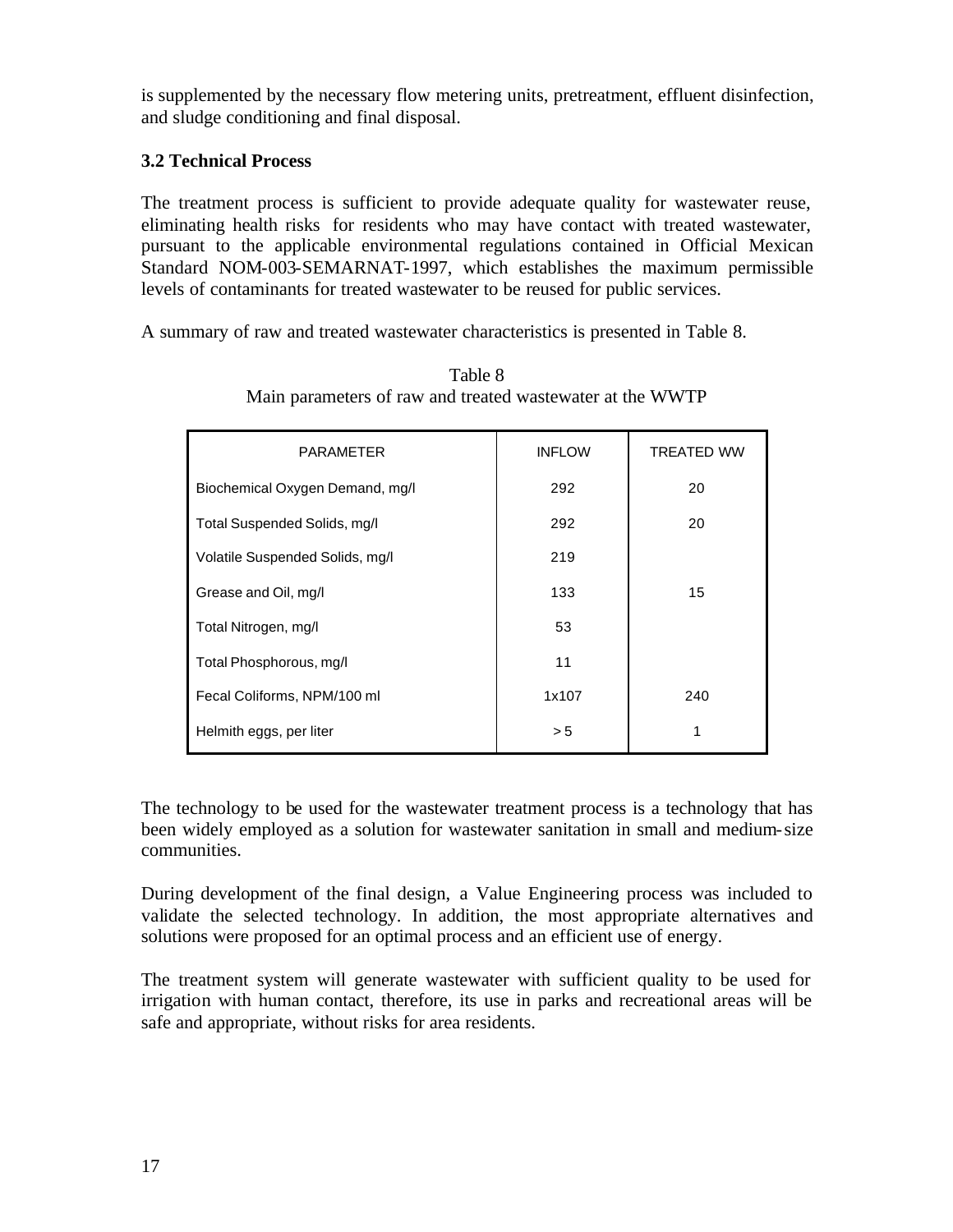is supplemented by the necessary flow metering units, pretreatment, effluent disinfection, and sludge conditioning and final disposal.

# **3.2 Technical Process**

The treatment process is sufficient to provide adequate quality for wastewater reuse, eliminating health risks for residents who may have contact with treated wastewater, pursuant to the applicable environmental regulations contained in Official Mexican Standard NOM-003-SEMARNAT-1997, which establishes the maximum permissible levels of contaminants for treated wastewater to be reused for public services.

A summary of raw and treated wastewater characteristics is presented in Table 8.

| <b>PARAMETER</b>                | <b>INFLOW</b> | <b>TREATED WW</b> |
|---------------------------------|---------------|-------------------|
| Biochemical Oxygen Demand, mg/l | 292           | 20                |
| Total Suspended Solids, mg/l    | 292           | 20                |
| Volatile Suspended Solids, mg/l | 219           |                   |
| Grease and Oil, mg/l            | 133           | 15                |
| Total Nitrogen, mg/l            | 53            |                   |
| Total Phosphorous, mg/l         | 11            |                   |
| Fecal Coliforms, NPM/100 ml     | 1x107         | 240               |
| Helmith eggs, per liter         | > 5           | 1                 |

Table 8 Main parameters of raw and treated wastewater at the WWTP

The technology to be used for the wastewater treatment process is a technology that has been widely employed as a solution for wastewater sanitation in small and medium-size communities.

During development of the final design, a Value Engineering process was included to validate the selected technology. In addition, the most appropriate alternatives and solutions were proposed for an optimal process and an efficient use of energy.

The treatment system will generate wastewater with sufficient quality to be used for irrigation with human contact, therefore, its use in parks and recreational areas will be safe and appropriate, without risks for area residents.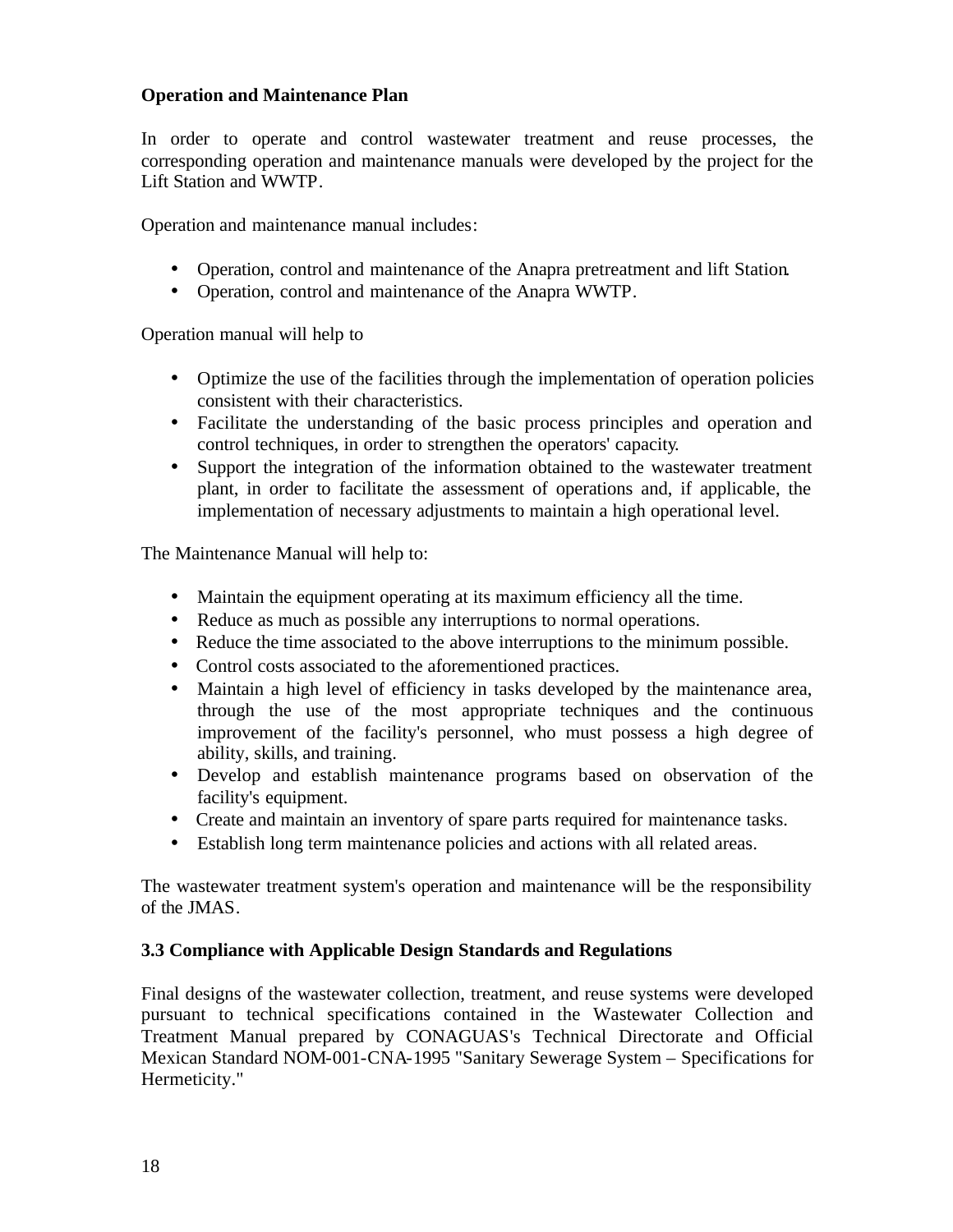# **Operation and Maintenance Plan**

In order to operate and control wastewater treatment and reuse processes, the corresponding operation and maintenance manuals were developed by the project for the Lift Station and WWTP.

Operation and maintenance manual includes:

- Operation, control and maintenance of the Anapra pretreatment and lift Station.
- Operation, control and maintenance of the Anapra WWTP.

Operation manual will help to

- Optimize the use of the facilities through the implementation of operation policies consistent with their characteristics.
- Facilitate the understanding of the basic process principles and operation and control techniques, in order to strengthen the operators' capacity.
- Support the integration of the information obtained to the wastewater treatment plant, in order to facilitate the assessment of operations and, if applicable, the implementation of necessary adjustments to maintain a high operational level.

The Maintenance Manual will help to:

- Maintain the equipment operating at its maximum efficiency all the time.
- Reduce as much as possible any interruptions to normal operations.
- Reduce the time associated to the above interruptions to the minimum possible.
- Control costs associated to the aforementioned practices.
- Maintain a high level of efficiency in tasks developed by the maintenance area, through the use of the most appropriate techniques and the continuous improvement of the facility's personnel, who must possess a high degree of ability, skills, and training.
- Develop and establish maintenance programs based on observation of the facility's equipment.
- Create and maintain an inventory of spare parts required for maintenance tasks.
- Establish long term maintenance policies and actions with all related areas.

The wastewater treatment system's operation and maintenance will be the responsibility of the JMAS.

# **3.3 Compliance with Applicable Design Standards and Regulations**

Final designs of the wastewater collection, treatment, and reuse systems were developed pursuant to technical specifications contained in the Wastewater Collection and Treatment Manual prepared by CONAGUAS's Technical Directorate and Official Mexican Standard NOM-001-CNA-1995 "Sanitary Sewerage System – Specifications for Hermeticity."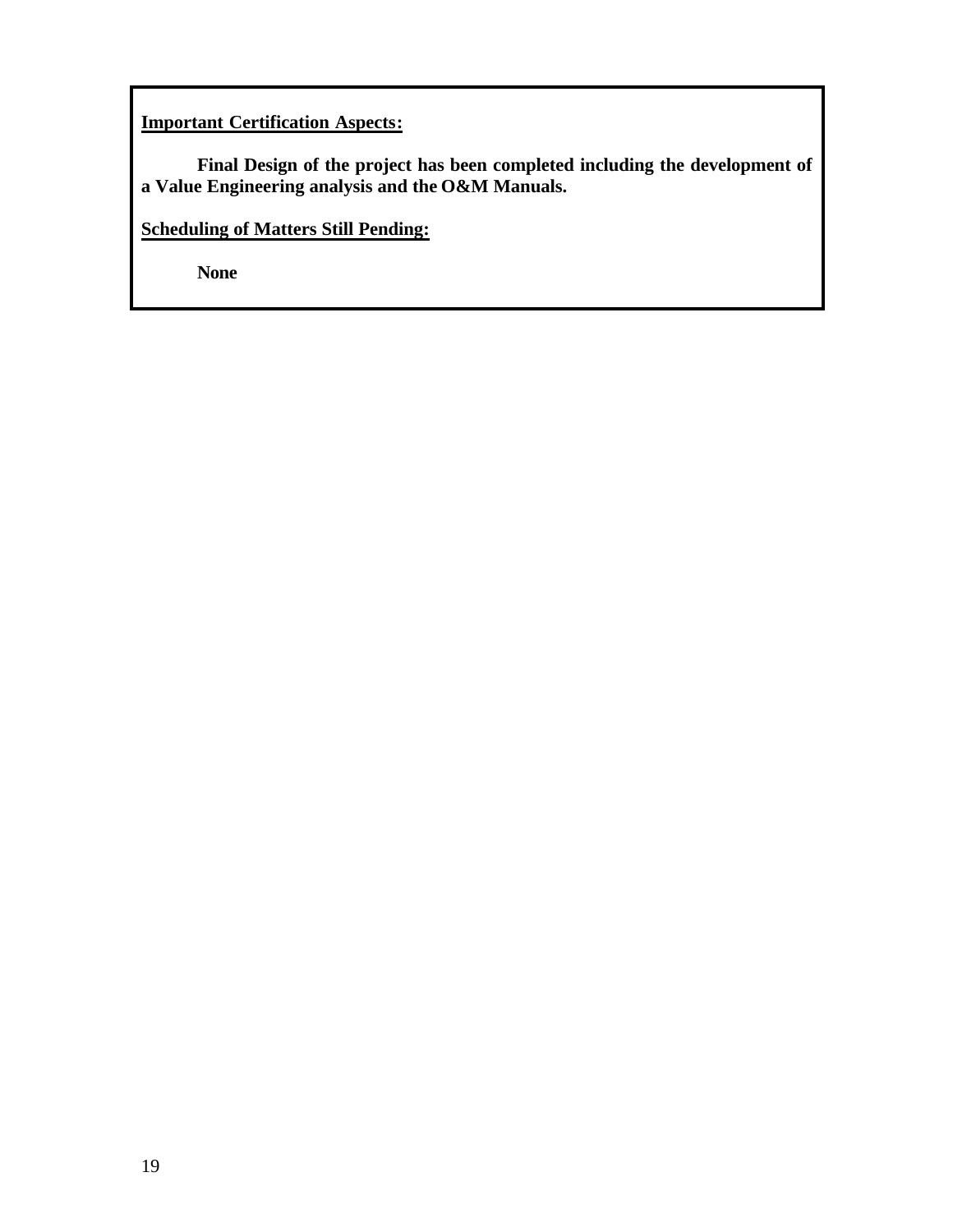# **Important Certification Aspects:**

**Final Design of the project has been completed including the development of a Value Engineering analysis and the O&M Manuals.** 

**Scheduling of Matters Still Pending:**

**None**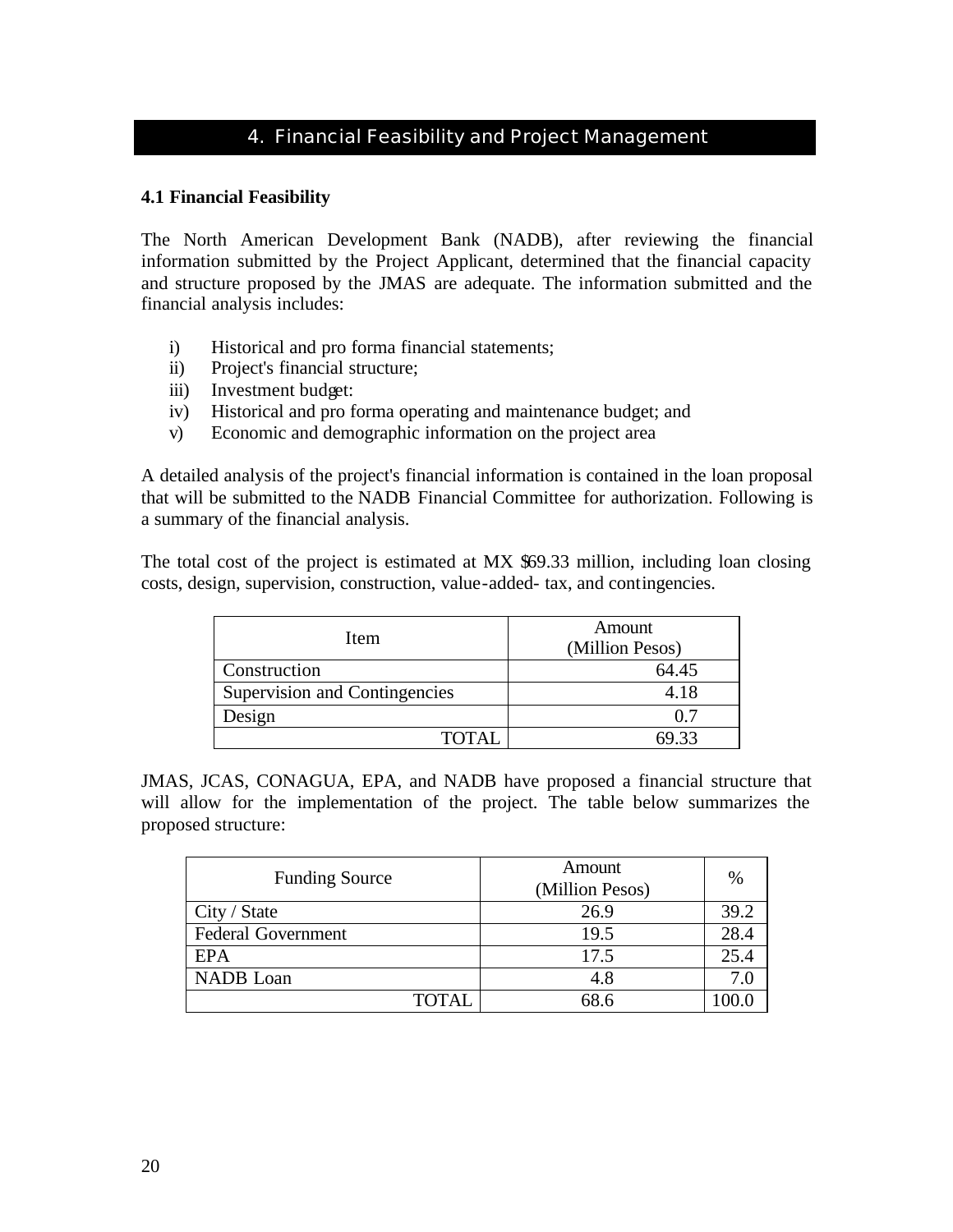# 4. Financial Feasibility and Project Management

# **4.1 Financial Feasibility**

The North American Development Bank (NADB), after reviewing the financial information submitted by the Project Applicant, determined that the financial capacity and structure proposed by the JMAS are adequate. The information submitted and the financial analysis includes:

- i) Historical and pro forma financial statements;
- ii) Project's financial structure;
- iii) Investment budget:
- iv) Historical and pro forma operating and maintenance budget; and
- v) Economic and demographic information on the project area

A detailed analysis of the project's financial information is contained in the loan proposal that will be submitted to the NADB Financial Committee for authorization. Following is a summary of the financial analysis.

The total cost of the project is estimated at MX \$69.33 million, including loan closing costs, design, supervision, construction, value-added- tax, and contingencies.

| Item                          | Amount<br>(Million Pesos) |
|-------------------------------|---------------------------|
| Construction                  | 64.45                     |
| Supervision and Contingencies | 4.18                      |
| Design                        |                           |
| <b>TOTAL</b>                  |                           |

JMAS, JCAS, CONAGUA, EPA, and NADB have proposed a financial structure that will allow for the implementation of the project. The table below summarizes the proposed structure:

| <b>Funding Source</b>     | Amount<br>(Million Pesos) | $\%$ |
|---------------------------|---------------------------|------|
| City / State              | 26.9                      | 39.2 |
| <b>Federal Government</b> | 19.5                      | 28.4 |
| EPA                       | 17.5                      | 25.4 |
| NADB Loan                 | 4.8                       | 7.0  |
| TOTAL                     | 68.6                      |      |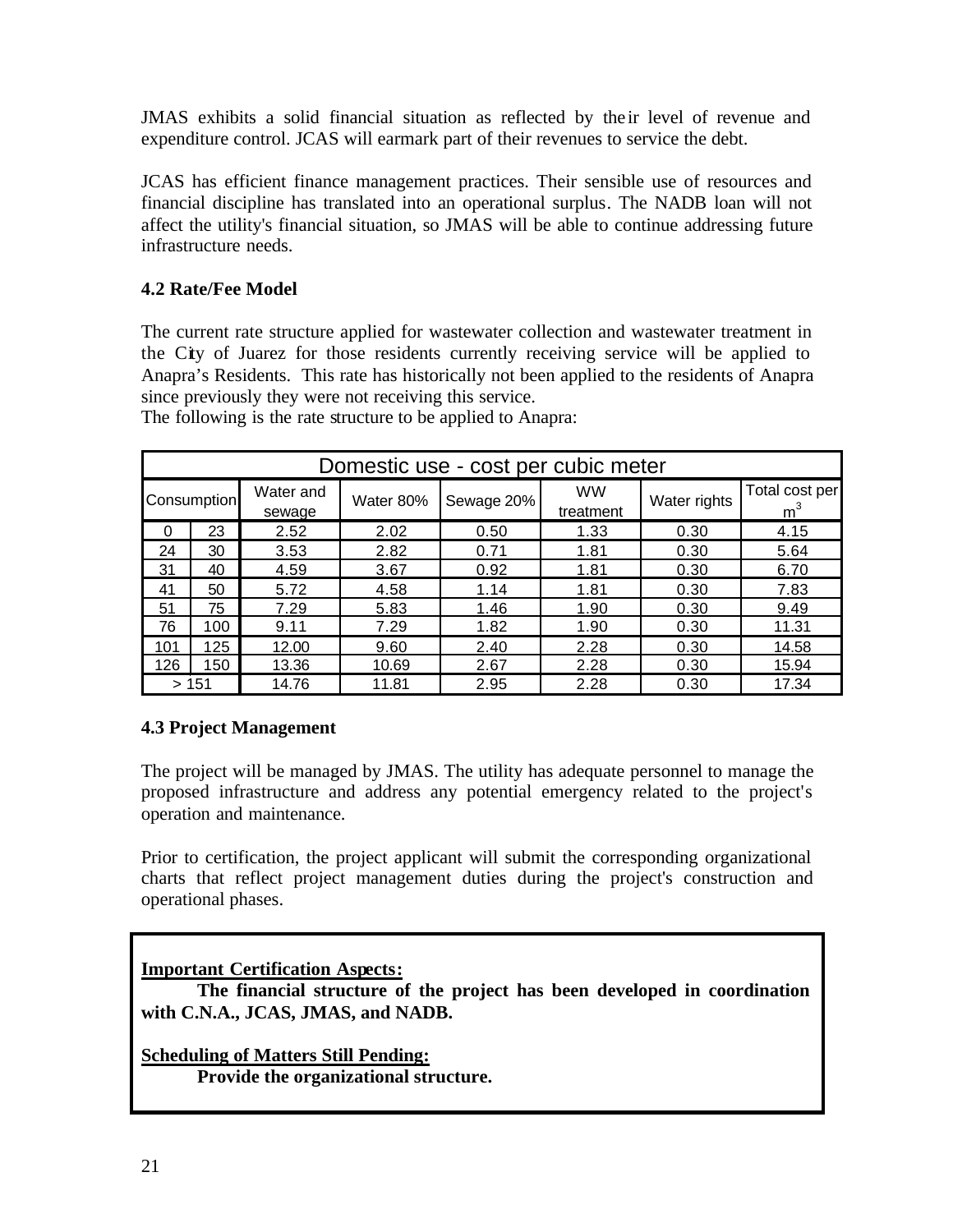JMAS exhibits a solid financial situation as reflected by the ir level of revenue and expenditure control. JCAS will earmark part of their revenues to service the debt.

JCAS has efficient finance management practices. Their sensible use of resources and financial discipline has translated into an operational surplus. The NADB loan will not affect the utility's financial situation, so JMAS will be able to continue addressing future infrastructure needs.

# **4.2 Rate/Fee Model**

The current rate structure applied for wastewater collection and wastewater treatment in the City of Juarez for those residents currently receiving service will be applied to Anapra's Residents. This rate has historically not been applied to the residents of Anapra since previously they were not receiving this service.

| Domestic use - cost per cubic meter |     |                     |           |            |                        |              |                         |
|-------------------------------------|-----|---------------------|-----------|------------|------------------------|--------------|-------------------------|
| Consumption                         |     | Water and<br>sewage | Water 80% | Sewage 20% | <b>WW</b><br>treatment | Water rights | Total cost per<br>$m^3$ |
| 0                                   | 23  | 2.52                | 2.02      | 0.50       | 1.33                   | 0.30         | 4.15                    |
| 24                                  | 30  | 3.53                | 2.82      | 0.71       | 1.81                   | 0.30         | 5.64                    |
| 31                                  | 40  | 4.59                | 3.67      | 0.92       | 1.81                   | 0.30         | 6.70                    |
| 41                                  | 50  | 5.72                | 4.58      | 1.14       | 1.81                   | 0.30         | 7.83                    |
| 51                                  | 75  | 7.29                | 5.83      | 1.46       | 1.90                   | 0.30         | 9.49                    |
| 76                                  | 100 | 9.11                | 7.29      | 1.82       | 1.90                   | 0.30         | 11.31                   |
| 101                                 | 125 | 12.00               | 9.60      | 2.40       | 2.28                   | 0.30         | 14.58                   |
| 126                                 | 150 | 13.36               | 10.69     | 2.67       | 2.28                   | 0.30         | 15.94                   |
| >151                                |     | 14.76               | 11.81     | 2.95       | 2.28                   | 0.30         | 17.34                   |

The following is the rate structure to be applied to Anapra:

# **4.3 Project Management**

The project will be managed by JMAS. The utility has adequate personnel to manage the proposed infrastructure and address any potential emergency related to the project's operation and maintenance.

Prior to certification, the project applicant will submit the corresponding organizational charts that reflect project management duties during the project's construction and operational phases.

# **Important Certification Aspects:**

**The financial structure of the project has been developed in coordination with C.N.A., JCAS, JMAS, and NADB.**

**Scheduling of Matters Still Pending: Provide the organizational structure.**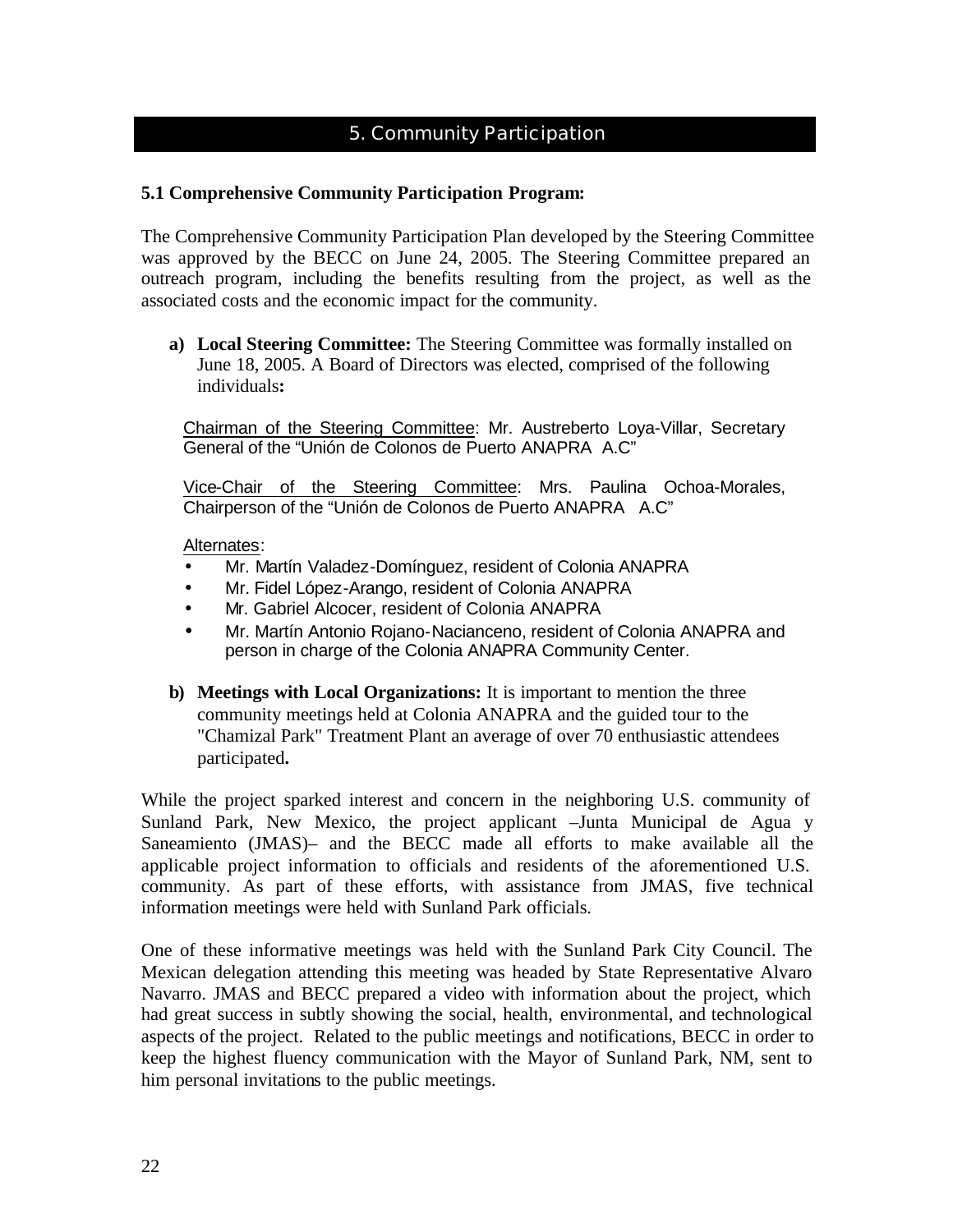# 5. Community Participation

# **5.1 Comprehensive Community Participation Program:**

The Comprehensive Community Participation Plan developed by the Steering Committee was approved by the BECC on June 24, 2005. The Steering Committee prepared an outreach program, including the benefits resulting from the project, as well as the associated costs and the economic impact for the community.

**a) Local Steering Committee:** The Steering Committee was formally installed on June 18, 2005. A Board of Directors was elected, comprised of the following individuals**:**

Chairman of the Steering Committee: Mr. Austreberto Loya-Villar, Secretary General of the "Unión de Colonos de Puerto ANAPRA A.C"

Vice-Chair of the Steering Committee: Mrs. Paulina Ochoa-Morales, Chairperson of the "Unión de Colonos de Puerto ANAPRA A.C"

#### Alternates:

- Mr. Martín Valadez-Domínguez, resident of Colonia ANAPRA
- Mr. Fidel López-Arango, resident of Colonia ANAPRA
- Mr. Gabriel Alcocer, resident of Colonia ANAPRA
- Mr. Martín Antonio Rojano-Nacianceno, resident of Colonia ANAPRA and person in charge of the Colonia ANAPRA Community Center.
- **b) Meetings with Local Organizations:** It is important to mention the three community meetings held at Colonia ANAPRA and the guided tour to the "Chamizal Park" Treatment Plant an average of over 70 enthusiastic attendees participated**.**

While the project sparked interest and concern in the neighboring U.S. community of Sunland Park, New Mexico, the project applicant –Junta Municipal de Agua y Saneamiento (JMAS)– and the BECC made all efforts to make available all the applicable project information to officials and residents of the aforementioned U.S. community. As part of these efforts, with assistance from JMAS, five technical information meetings were held with Sunland Park officials.

One of these informative meetings was held with the Sunland Park City Council. The Mexican delegation attending this meeting was headed by State Representative Alvaro Navarro. JMAS and BECC prepared a video with information about the project, which had great success in subtly showing the social, health, environmental, and technological aspects of the project. Related to the public meetings and notifications, BECC in order to keep the highest fluency communication with the Mayor of Sunland Park, NM, sent to him personal invitations to the public meetings.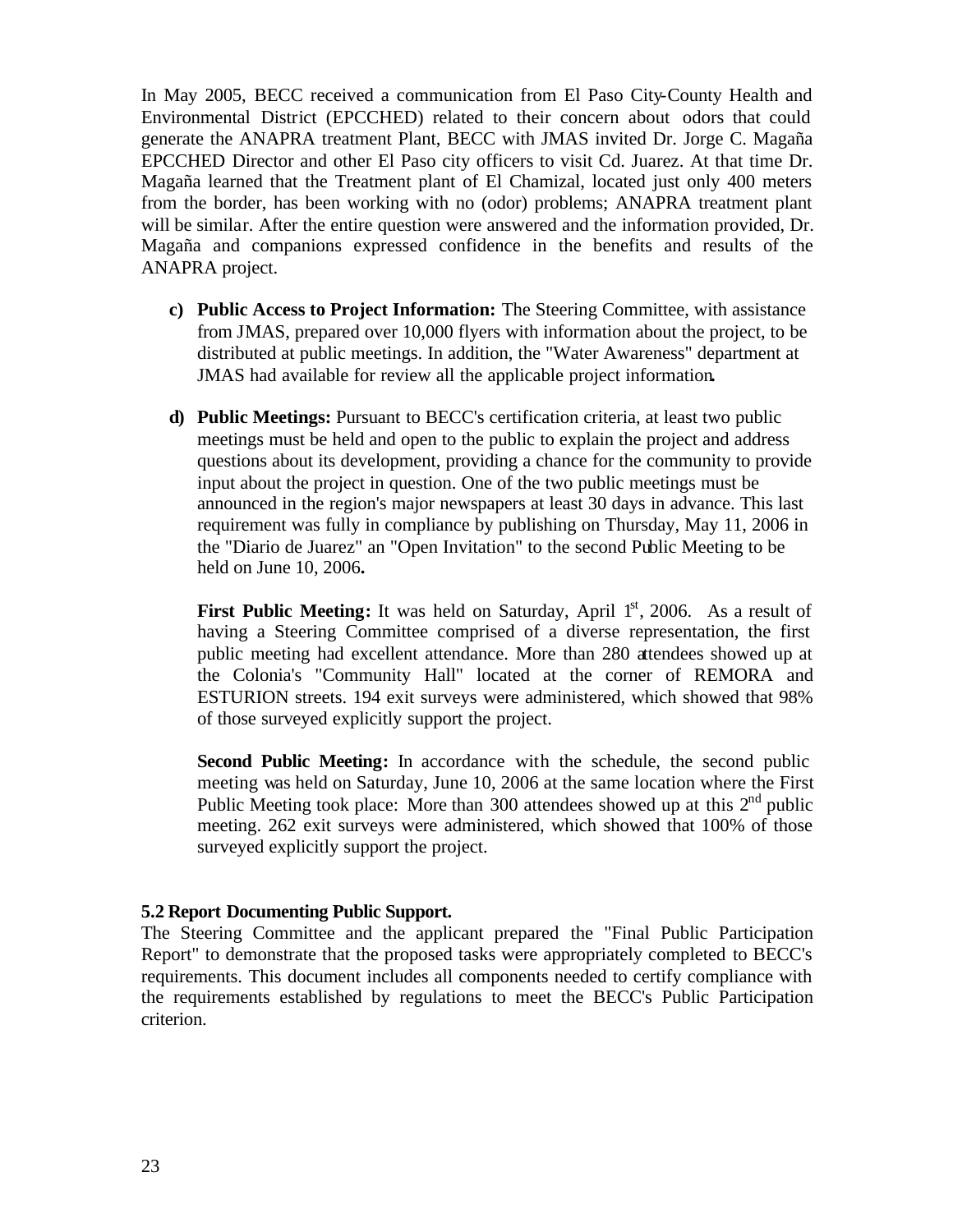In May 2005, BECC received a communication from El Paso City-County Health and Environmental District (EPCCHED) related to their concern about odors that could generate the ANAPRA treatment Plant, BECC with JMAS invited Dr. Jorge C. Magaña EPCCHED Director and other El Paso city officers to visit Cd. Juarez. At that time Dr. Magaña learned that the Treatment plant of El Chamizal, located just only 400 meters from the border, has been working with no (odor) problems; ANAPRA treatment plant will be similar. After the entire question were answered and the information provided, Dr. Magaña and companions expressed confidence in the benefits and results of the ANAPRA project.

- **c) Public Access to Project Information:** The Steering Committee, with assistance from JMAS, prepared over 10,000 flyers with information about the project, to be distributed at public meetings. In addition, the "Water Awareness" department at JMAS had available for review all the applicable project information**.**
- **d) Public Meetings:** Pursuant to BECC's certification criteria, at least two public meetings must be held and open to the public to explain the project and address questions about its development, providing a chance for the community to provide input about the project in question. One of the two public meetings must be announced in the region's major newspapers at least 30 days in advance. This last requirement was fully in compliance by publishing on Thursday, May 11, 2006 in the "Diario de Juarez" an "Open Invitation" to the second Public Meeting to be held on June 10, 2006**.**

**First Public Meeting:** It was held on Saturday, April 1<sup>st</sup>, 2006. As a result of having a Steering Committee comprised of a diverse representation, the first public meeting had excellent attendance. More than 280 attendees showed up at the Colonia's "Community Hall" located at the corner of REMORA and ESTURION streets. 194 exit surveys were administered, which showed that 98% of those surveyed explicitly support the project.

**Second Public Meeting:** In accordance with the schedule, the second public meeting was held on Saturday, June 10, 2006 at the same location where the First Public Meeting took place: More than 300 attendees showed up at this  $2<sup>nd</sup>$  public meeting. 262 exit surveys were administered, which showed that 100% of those surveyed explicitly support the project.

#### **5.2 Report Documenting Public Support.**

The Steering Committee and the applicant prepared the "Final Public Participation Report" to demonstrate that the proposed tasks were appropriately completed to BECC's requirements. This document includes all components needed to certify compliance with the requirements established by regulations to meet the BECC's Public Participation criterion.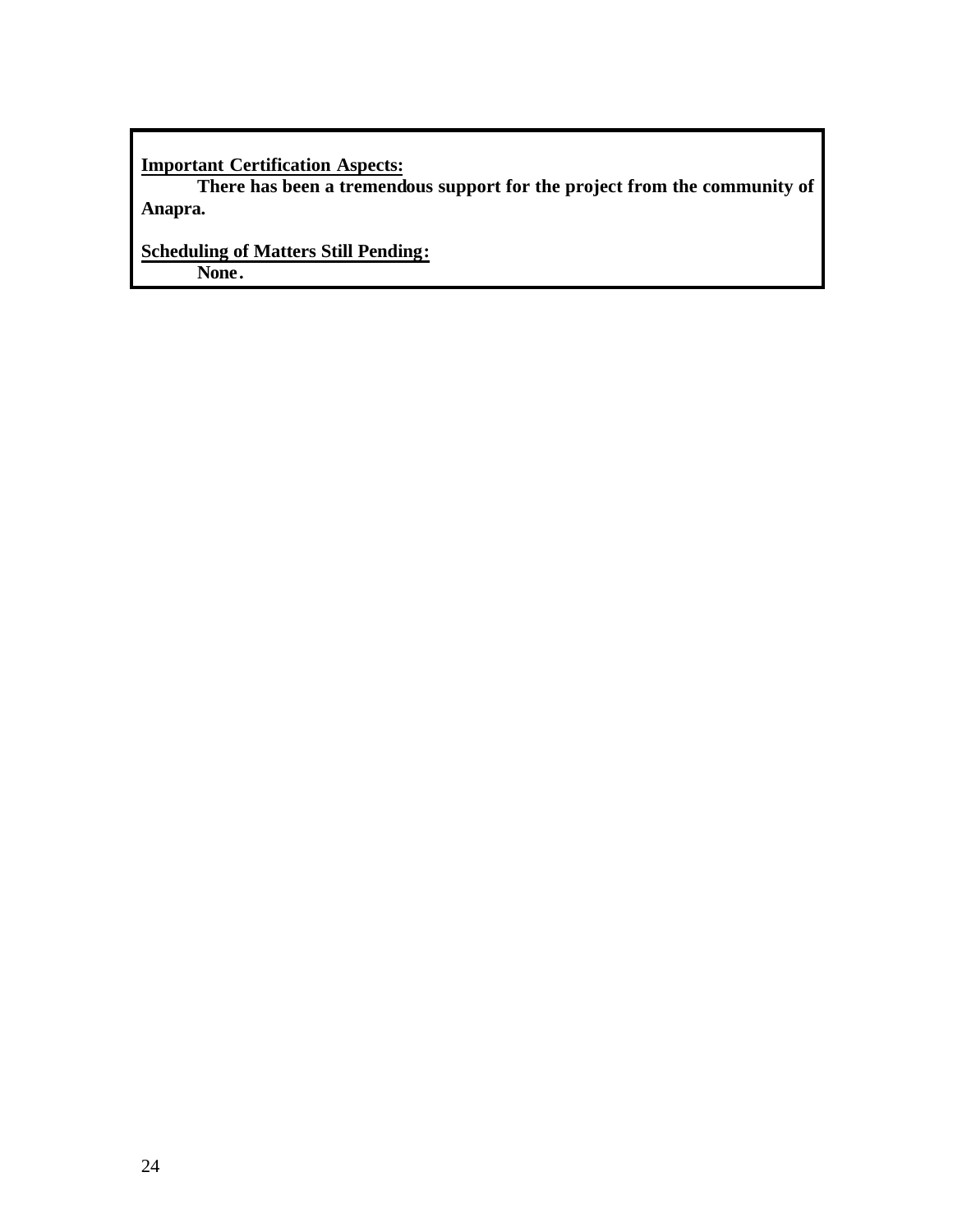**Important Certification Aspects:**

**There has been a tremendous support for the project from the community of Anapra.**

**Scheduling of Matters Still Pending: None.**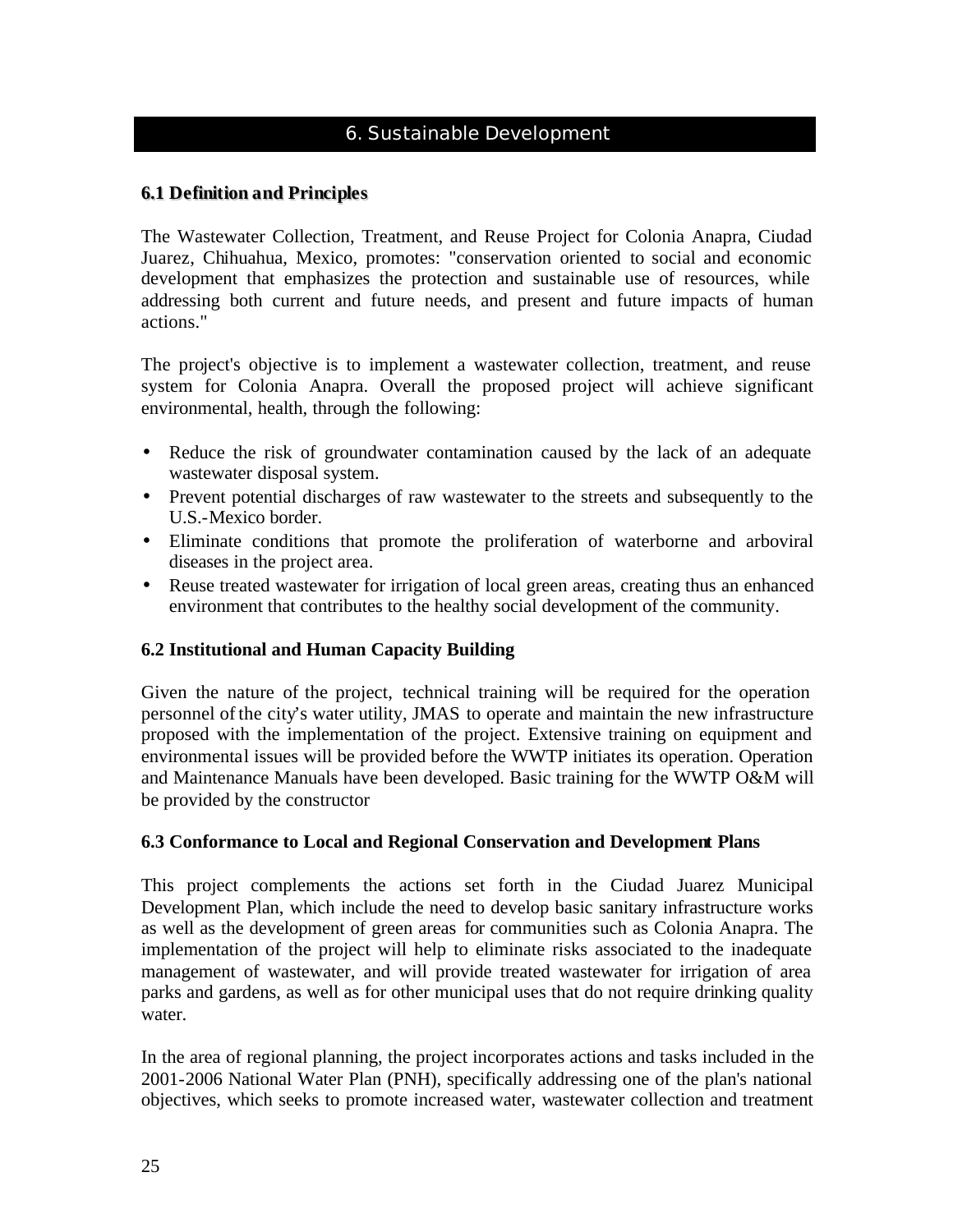# 6. Sustainable Development

# **6.1 Definition and Principles**

The Wastewater Collection, Treatment, and Reuse Project for Colonia Anapra, Ciudad Juarez, Chihuahua, Mexico, promotes: "conservation oriented to social and economic development that emphasizes the protection and sustainable use of resources, while addressing both current and future needs, and present and future impacts of human actions."

The project's objective is to implement a wastewater collection, treatment, and reuse system for Colonia Anapra. Overall the proposed project will achieve significant environmental, health, through the following:

- Reduce the risk of groundwater contamination caused by the lack of an adequate wastewater disposal system.
- Prevent potential discharges of raw wastewater to the streets and subsequently to the U.S.-Mexico border.
- Eliminate conditions that promote the proliferation of waterborne and arboviral diseases in the project area.
- Reuse treated wastewater for irrigation of local green areas, creating thus an enhanced environment that contributes to the healthy social development of the community.

# **6.2 Institutional and Human Capacity Building**

Given the nature of the project, technical training will be required for the operation personnel of the city's water utility, JMAS to operate and maintain the new infrastructure proposed with the implementation of the project. Extensive training on equipment and environmental issues will be provided before the WWTP initiates its operation. Operation and Maintenance Manuals have been developed. Basic training for the WWTP O&M will be provided by the constructor

# **6.3 Conformance to Local and Regional Conservation and Development Plans**

This project complements the actions set forth in the Ciudad Juarez Municipal Development Plan, which include the need to develop basic sanitary infrastructure works as well as the development of green areas for communities such as Colonia Anapra. The implementation of the project will help to eliminate risks associated to the inadequate management of wastewater, and will provide treated wastewater for irrigation of area parks and gardens, as well as for other municipal uses that do not require drinking quality water.

In the area of regional planning, the project incorporates actions and tasks included in the 2001-2006 National Water Plan (PNH), specifically addressing one of the plan's national objectives, which seeks to promote increased water, wastewater collection and treatment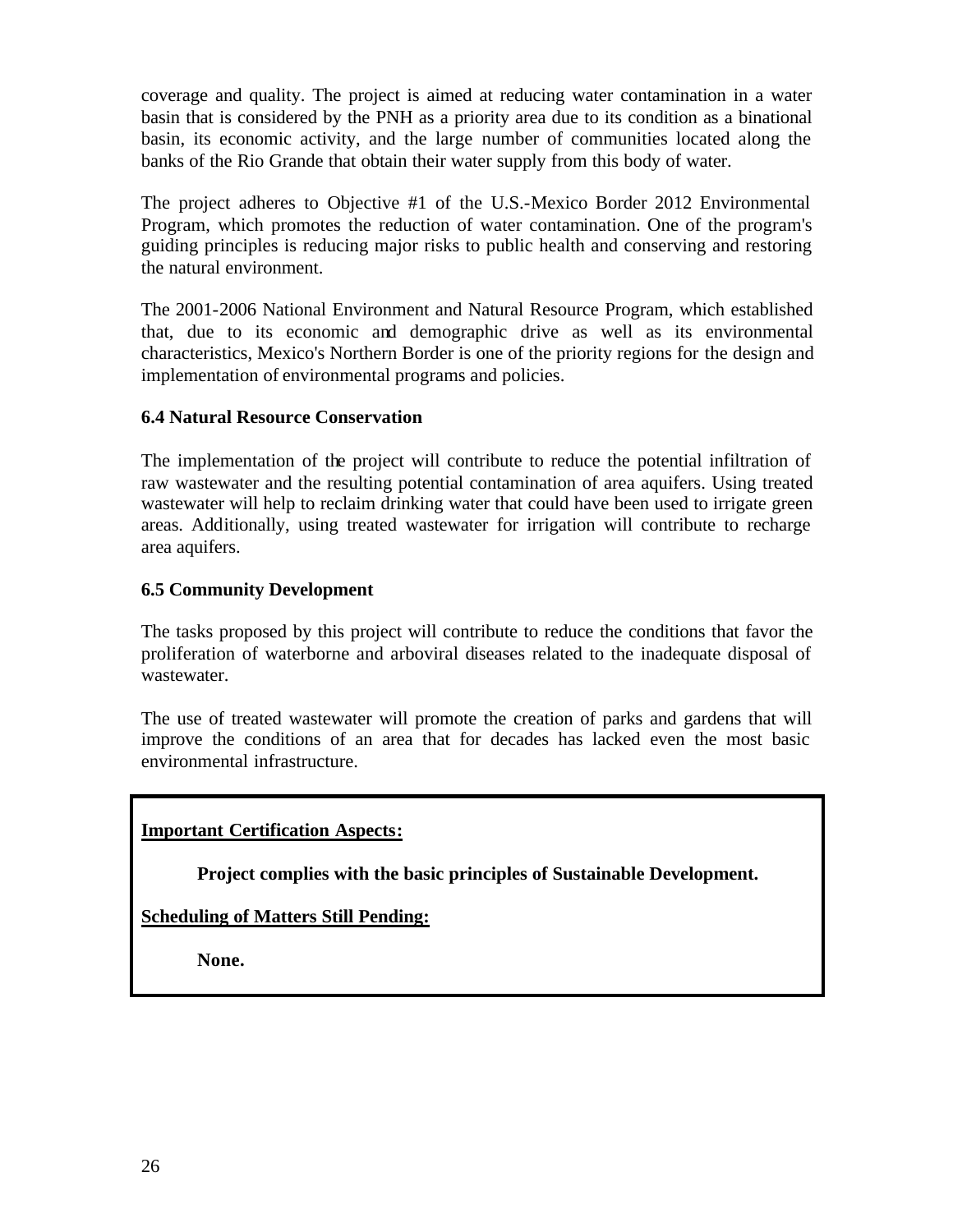coverage and quality. The project is aimed at reducing water contamination in a water basin that is considered by the PNH as a priority area due to its condition as a binational basin, its economic activity, and the large number of communities located along the banks of the Rio Grande that obtain their water supply from this body of water.

The project adheres to Objective #1 of the U.S.-Mexico Border 2012 Environmental Program, which promotes the reduction of water contamination. One of the program's guiding principles is reducing major risks to public health and conserving and restoring the natural environment.

The 2001-2006 National Environment and Natural Resource Program, which established that, due to its economic and demographic drive as well as its environmental characteristics, Mexico's Northern Border is one of the priority regions for the design and implementation of environmental programs and policies.

# **6.4 Natural Resource Conservation**

The implementation of the project will contribute to reduce the potential infiltration of raw wastewater and the resulting potential contamination of area aquifers. Using treated wastewater will help to reclaim drinking water that could have been used to irrigate green areas. Additionally, using treated wastewater for irrigation will contribute to recharge area aquifers.

# **6.5 Community Development**

The tasks proposed by this project will contribute to reduce the conditions that favor the proliferation of waterborne and arboviral diseases related to the inadequate disposal of wastewater.

The use of treated wastewater will promote the creation of parks and gardens that will improve the conditions of an area that for decades has lacked even the most basic environmental infrastructure.

# **Important Certification Aspects:**

**Project complies with the basic principles of Sustainable Development.**

**Scheduling of Matters Still Pending:**

**None.**